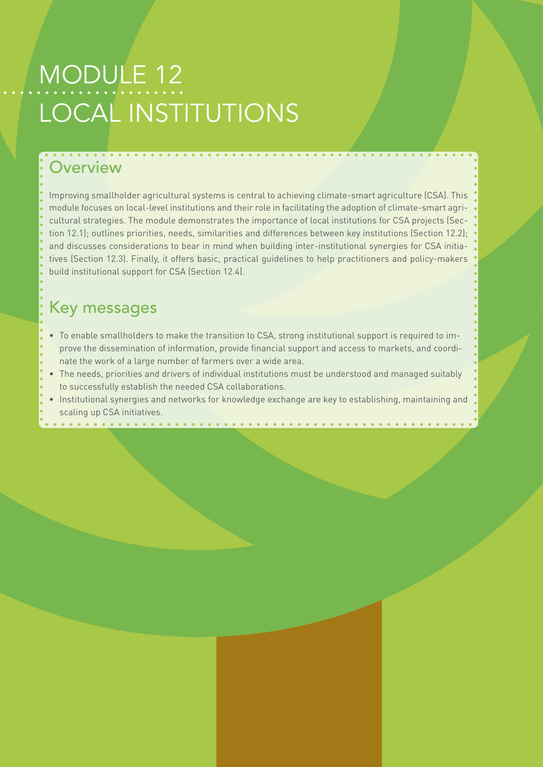# MODULE 12 LOCAL INSTITUTIONS

## **Overview**

Improving smallholder agricultural systems is central to achieving climate-smart agriculture (CSA). This module focuses on local-level institutions and their role in facilitating the adoption of climate-smart agricultural strategies. The module demonstrates the importance of local institutions for CSA projects (Section 12.1); outlines priorities, needs, similarities and differences between key institutions (Section 12.2); and discusses considerations to bear in mind when building inter-institutional synergies for CSA initiatives (Section 12.3). Finally, it offers basic, practical guidelines to help practitioners and policy-makers build institutional support for CSA (Section 12.4).

## Key messages

- To enable smallholders to make the transition to CSA, strong institutional support is required to improve the dissemination of information, provide financial support and access to markets, and coordinate the work of a large number of farmers over a wide area.
- The needs, priorities and drivers of individual institutions must be understood and managed suitably to successfully establish the needed CSA collaborations.
- Institutional synergies and networks for knowledge exchange are key to establishing, maintaining and scaling up CSA initiatives.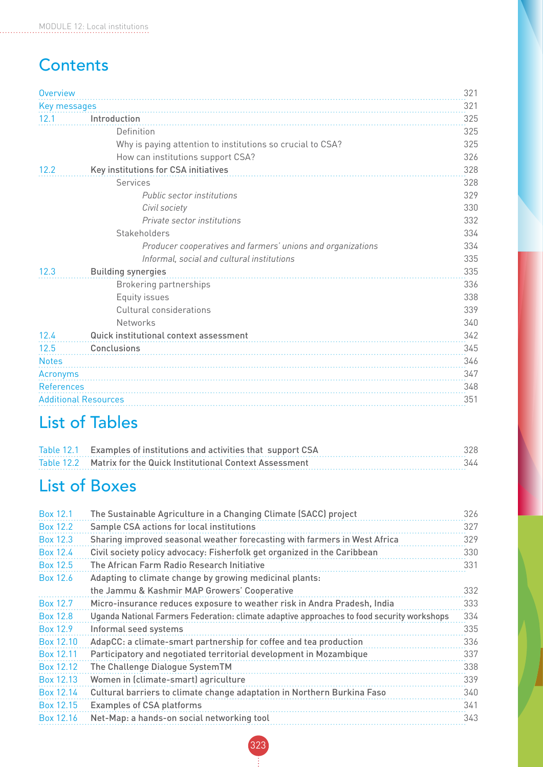## **Contents**

| Overview          |                                                             | 321 |
|-------------------|-------------------------------------------------------------|-----|
| Key messages      |                                                             | 321 |
| 12.1              | Introduction                                                | 325 |
|                   | Definition                                                  | 325 |
|                   | Why is paying attention to institutions so crucial to CSA?  | 325 |
|                   | How can institutions support CSA?                           | 326 |
| 12.2              | Key institutions for CSA initiatives                        | 328 |
|                   | Services                                                    | 328 |
|                   | Public sector institutions                                  | 329 |
|                   | Civil society                                               | 330 |
|                   | Private sector institutions                                 | 332 |
|                   | Stakeholders                                                | 334 |
|                   | Producer cooperatives and farmers' unions and organizations | 334 |
|                   | Informal, social and cultural institutions                  | 335 |
| 12.3              | <b>Building synergies</b>                                   | 335 |
|                   | Brokering partnerships                                      | 336 |
|                   | Equity issues                                               | 338 |
|                   | Cultural considerations                                     | 339 |
|                   | <b>Networks</b>                                             | 340 |
| 12.4              | Quick institutional context assessment                      | 342 |
| 12.5              | Conclusions                                                 | 345 |
| <b>Notes</b>      |                                                             | 346 |
| Acronyms          |                                                             | 347 |
| <b>References</b> |                                                             | 348 |
|                   | <b>Additional Resources</b>                                 | 351 |

## List of Tables

| Table 12.1 Examples of institutions and activities that support CSA | 328 |
|---------------------------------------------------------------------|-----|
| Table 12.2 Matrix for the Quick Institutional Context Assessment    | 344 |

## List of Boxes

| Box 12.1        | The Sustainable Agriculture in a Changing Climate (SACC) project                           | 326 |
|-----------------|--------------------------------------------------------------------------------------------|-----|
| <b>Box 12.2</b> | Sample CSA actions for local institutions                                                  | 327 |
| <b>Box 12.3</b> | Sharing improved seasonal weather forecasting with farmers in West Africa                  | 329 |
| <b>Box 12.4</b> | Civil society policy advocacy: Fisherfolk get organized in the Caribbean                   | 330 |
| Box 12.5        | The African Farm Radio Research Initiative                                                 | 331 |
| Box 12.6        | Adapting to climate change by growing medicinal plants:                                    |     |
|                 | the Jammu & Kashmir MAP Growers' Cooperative                                               | 332 |
| Box 12.7        | Micro-insurance reduces exposure to weather risk in Andra Pradesh, India                   | 333 |
| <b>Box 12.8</b> | Uganda National Farmers Federation: climate adaptive approaches to food security workshops | 334 |
| <b>Box 12.9</b> | Informal seed systems                                                                      | 335 |
| Box 12.10       | AdapCC: a climate-smart partnership for coffee and tea production                          | 336 |
| Box 12.11       | Participatory and negotiated territorial development in Mozambique                         | 337 |
| Box 12.12       | The Challenge Dialogue SystemTM                                                            | 338 |
| Box 12.13       | Women in (climate-smart) agriculture                                                       | 339 |
| Box 12.14       | Cultural barriers to climate change adaptation in Northern Burkina Faso                    | 340 |
| Box 12.15       | <b>Examples of CSA platforms</b>                                                           | 341 |
| Box 12.16       | Net-Map: a hands-on social networking tool                                                 | 343 |

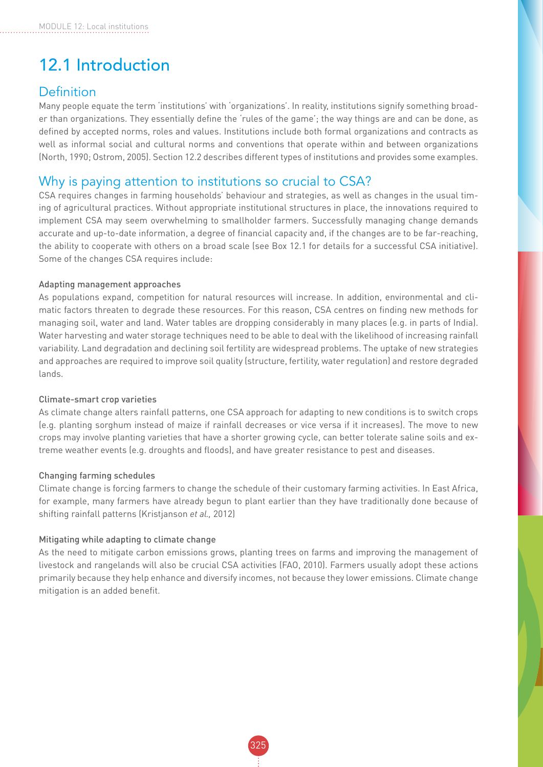## 12.1 Introduction

## Definition

Many people equate the term 'institutions' with 'organizations'. In reality, institutions signify something broader than organizations. They essentially define the 'rules of the game'; the way things are and can be done, as defined by accepted norms, roles and values. Institutions include both formal organizations and contracts as well as informal social and cultural norms and conventions that operate within and between organizations (North, 1990; Ostrom, 2005). Section 12.2 describes different types of institutions and provides some examples.

## Why is paying attention to institutions so crucial to CSA?

CSA requires changes in farming households' behaviour and strategies, as well as changes in the usual timing of agricultural practices. Without appropriate institutional structures in place, the innovations required to implement CSA may seem overwhelming to smallholder farmers. Successfully managing change demands accurate and up-to-date information, a degree of financial capacity and, if the changes are to be far-reaching, the ability to cooperate with others on a broad scale (see Box 12.1 for details for a successful CSA initiative). Some of the changes CSA requires include:

### Adapting management approaches

As populations expand, competition for natural resources will increase. In addition, environmental and climatic factors threaten to degrade these resources. For this reason, CSA centres on finding new methods for managing soil, water and land. Water tables are dropping considerably in many places (e.g. in parts of India). Water harvesting and water storage techniques need to be able to deal with the likelihood of increasing rainfall variability. Land degradation and declining soil fertility are widespread problems. The uptake of new strategies and approaches are required to improve soil quality (structure, fertility, water regulation) and restore degraded lands.

### Climate-smart crop varieties

As climate change alters rainfall patterns, one CSA approach for adapting to new conditions is to switch crops (e.g. planting sorghum instead of maize if rainfall decreases or vice versa if it increases). The move to new crops may involve planting varieties that have a shorter growing cycle, can better tolerate saline soils and extreme weather events (e.g. droughts and floods), and have greater resistance to pest and diseases.

### Changing farming schedules

Climate change is forcing farmers to change the schedule of their customary farming activities. In East Africa, for example, many farmers have already begun to plant earlier than they have traditionally done because of shifting rainfall patterns (Kristjanson *et al.,* 2012)

### Mitigating while adapting to climate change

As the need to mitigate carbon emissions grows, planting trees on farms and improving the management of livestock and rangelands will also be crucial CSA activities (FAO, 2010). Farmers usually adopt these actions primarily because they help enhance and diversify incomes, not because they lower emissions. Climate change mitigation is an added benefit.

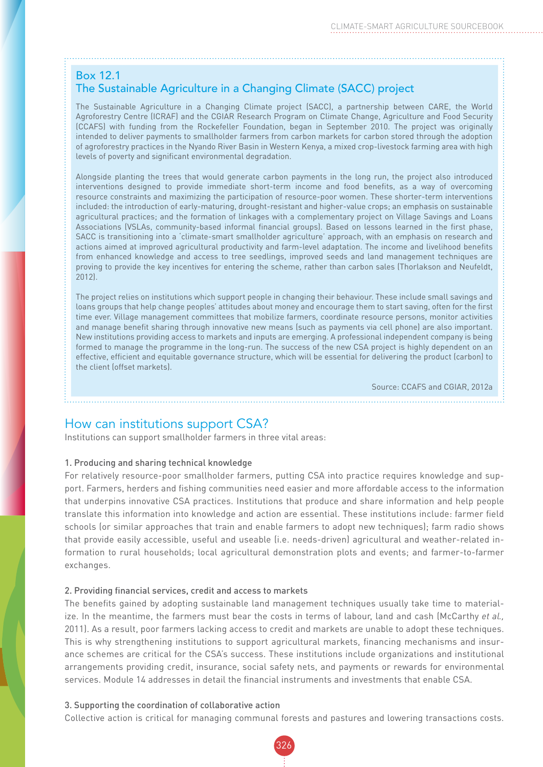## Box 12.1 The Sustainable Agriculture in a Changing Climate (SACC) project

The Sustainable Agriculture in a Changing Climate project (SACC), a partnership between CARE, the World Agroforestry Centre (ICRAF) and the CGIAR Research Program on Climate Change, Agriculture and Food Security (CCAFS) with funding from the Rockefeller Foundation, began in September 2010. The project was originally intended to deliver payments to smallholder farmers from carbon markets for carbon stored through the adoption of agroforestry practices in the Nyando River Basin in Western Kenya, a mixed crop-livestock farming area with high levels of poverty and significant environmental degradation.

Alongside planting the trees that would generate carbon payments in the long run, the project also introduced interventions designed to provide immediate short-term income and food benefits, as a way of overcoming resource constraints and maximizing the participation of resource-poor women. These shorter-term interventions included: the introduction of early-maturing, drought-resistant and higher-value crops; an emphasis on sustainable agricultural practices; and the formation of linkages with a complementary project on Village Savings and Loans Associations (VSLAs, community-based informal financial groups). Based on lessons learned in the first phase, SACC is transitioning into a 'climate-smart smallholder agriculture' approach, with an emphasis on research and actions aimed at improved agricultural productivity and farm-level adaptation. The income and livelihood benefits from enhanced knowledge and access to tree seedlings, improved seeds and land management techniques are proving to provide the key incentives for entering the scheme, rather than carbon sales (Thorlakson and Neufeldt, 2012).

The project relies on institutions which support people in changing their behaviour. These include small savings and loans groups that help change peoples' attitudes about money and encourage them to start saving, often for the first time ever. Village management committees that mobilize farmers, coordinate resource persons, monitor activities and manage benefit sharing through innovative new means (such as payments via cell phone) are also important. New institutions providing access to markets and inputs are emerging. A professional independent company is being formed to manage the programme in the long-run. The success of the new CSA project is highly dependent on an effective, efficient and equitable governance structure, which will be essential for delivering the product (carbon) to the client (offset markets).

Source: CCAFS and CGIAR, 2012a

## How can institutions support CSA?

Institutions can support smallholder farmers in three vital areas:

### 1. Producing and sharing technical knowledge

For relatively resource-poor smallholder farmers, putting CSA into practice requires knowledge and support. Farmers, herders and fishing communities need easier and more affordable access to the information that underpins innovative CSA practices. Institutions that produce and share information and help people translate this information into knowledge and action are essential. These institutions include: farmer field schools (or similar approaches that train and enable farmers to adopt new techniques); farm radio shows that provide easily accessible, useful and useable (i.e. needs-driven) agricultural and weather-related information to rural households; local agricultural demonstration plots and events; and farmer-to-farmer exchanges.

### 2. Providing financial services, credit and access to markets

The benefits gained by adopting sustainable land management techniques usually take time to materialize. In the meantime, the farmers must bear the costs in terms of labour, land and cash (McCarthy *et al.,* 2011). As a result, poor farmers lacking access to credit and markets are unable to adopt these techniques. This is why strengthening institutions to support agricultural markets, financing mechanisms and insurance schemes are critical for the CSA's success. These institutions include organizations and institutional arrangements providing credit, insurance, social safety nets, and payments or rewards for environmental services. Module 14 addresses in detail the financial instruments and investments that enable CSA.

### 3. Supporting the coordination of collaborative action

Collective action is critical for managing communal forests and pastures and lowering transactions costs.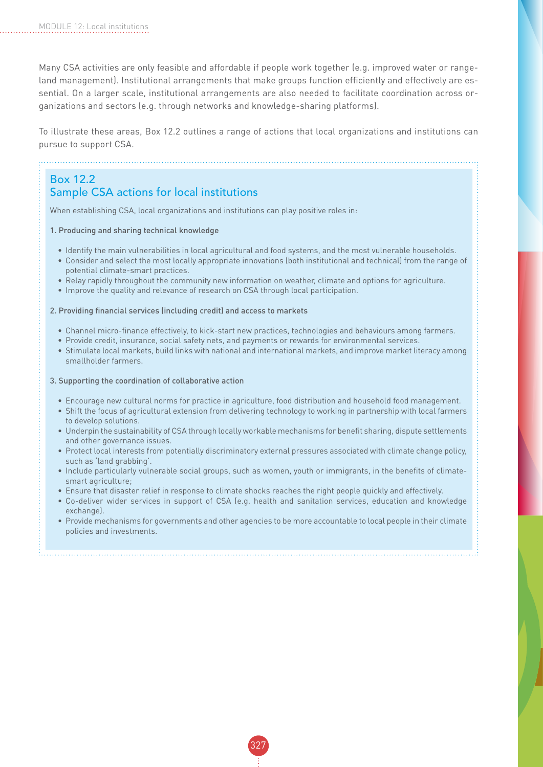Many CSA activities are only feasible and affordable if people work together (e.g. improved water or rangeland management). Institutional arrangements that make groups function efficiently and effectively are essential. On a larger scale, institutional arrangements are also needed to facilitate coordination across organizations and sectors (e.g. through networks and knowledge-sharing platforms).

To illustrate these areas, Box 12.2 outlines a range of actions that local organizations and institutions can pursue to support CSA.

## Box 12.2 Sample CSA actions for local institutions

When establishing CSA, local organizations and institutions can play positive roles in:

#### 1. Producing and sharing technical knowledge

- • Identify the main vulnerabilities in local agricultural and food systems, and the most vulnerable households.
- • Consider and select the most locally appropriate innovations (both institutional and technical) from the range of potential climate-smart practices.
- • Relay rapidly throughout the community new information on weather, climate and options for agriculture.
- • Improve the quality and relevance of research on CSA through local participation.

#### 2. Providing financial services (including credit) and access to markets

- • Channel micro-finance effectively, to kick-start new practices, technologies and behaviours among farmers.
- • Provide credit, insurance, social safety nets, and payments or rewards for environmental services.
- • Stimulate local markets, build links with national and international markets, and improve market literacy among smallholder farmers.

#### 3. Supporting the coordination of collaborative action

- • Encourage new cultural norms for practice in agriculture, food distribution and household food management.
- • Shift the focus of agricultural extension from delivering technology to working in partnership with local farmers to develop solutions.
- • Underpin the sustainability of CSA through locally workable mechanisms for benefit sharing, dispute settlements and other governance issues.
- • Protect local interests from potentially discriminatory external pressures associated with climate change policy, such as 'land grabbing'.
- Include particularly vulnerable social groups, such as women, youth or immigrants, in the benefits of climatesmart agriculture;
- • Ensure that disaster relief in response to climate shocks reaches the right people quickly and effectively.
- • Co-deliver wider services in support of CSA (e.g. health and sanitation services, education and knowledge exchange).
- • Provide mechanisms for governments and other agencies to be more accountable to local people in their climate policies and investments.

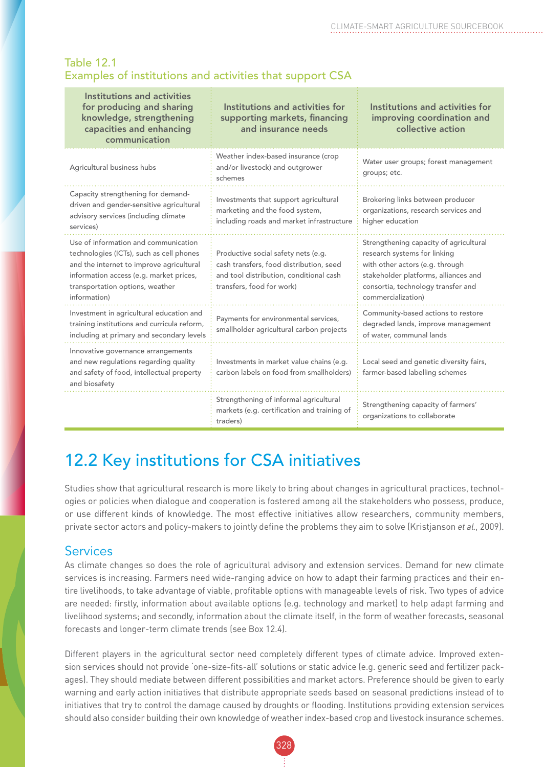## Table 12.1 Examples of institutions and activities that support CSA

| Institutions and activities<br>for producing and sharing<br>knowledge, strengthening<br>capacities and enhancing<br>communication                                                                                          | Institutions and activities for<br>supporting markets, financing<br>and insurance needs                                                                | Institutions and activities for<br>improving coordination and<br>collective action                                                                                                                            |
|----------------------------------------------------------------------------------------------------------------------------------------------------------------------------------------------------------------------------|--------------------------------------------------------------------------------------------------------------------------------------------------------|---------------------------------------------------------------------------------------------------------------------------------------------------------------------------------------------------------------|
| Agricultural business hubs                                                                                                                                                                                                 | Weather index-based insurance (crop<br>and/or livestock) and outgrower<br>schemes                                                                      | Water user groups; forest management<br>groups; etc.                                                                                                                                                          |
| Capacity strengthening for demand-<br>driven and gender-sensitive agricultural<br>advisory services (including climate<br>services)                                                                                        | Investments that support agricultural<br>marketing and the food system,<br>including roads and market infrastructure                                   | Brokering links between producer<br>organizations, research services and<br>higher education                                                                                                                  |
| Use of information and communication<br>technologies (ICTs), such as cell phones<br>and the internet to improve agricultural<br>information access (e.g. market prices,<br>transportation options, weather<br>information) | Productive social safety nets (e.g.<br>cash transfers, food distribution, seed<br>and tool distribution, conditional cash<br>transfers, food for work) | Strengthening capacity of agricultural<br>research systems for linking<br>with other actors (e.g. through<br>stakeholder platforms, alliances and<br>consortia, technology transfer and<br>commercialization) |
| Investment in agricultural education and<br>training institutions and curricula reform,<br>including at primary and secondary levels                                                                                       | Payments for environmental services,<br>smallholder agricultural carbon projects                                                                       | Community-based actions to restore<br>degraded lands, improve management<br>of water, communal lands                                                                                                          |
| Innovative governance arrangements<br>and new regulations regarding quality<br>and safety of food, intellectual property<br>and biosafety                                                                                  | Investments in market value chains (e.g.<br>carbon labels on food from smallholders)                                                                   | Local seed and genetic diversity fairs,<br>farmer-based labelling schemes                                                                                                                                     |
|                                                                                                                                                                                                                            | Strengthening of informal agricultural<br>markets (e.g. certification and training of<br>traders)                                                      | Strengthening capacity of farmers'<br>organizations to collaborate                                                                                                                                            |

## 12.2 Key institutions for CSA initiatives

Studies show that agricultural research is more likely to bring about changes in agricultural practices, technologies or policies when dialogue and cooperation is fostered among all the stakeholders who possess, produce, or use different kinds of knowledge. The most effective initiatives allow researchers, community members, private sector actors and policy-makers to jointly define the problems they aim to solve (Kristjanson *et al.,* 2009).

## **Services**

As climate changes so does the role of agricultural advisory and extension services. Demand for new climate services is increasing. Farmers need wide-ranging advice on how to adapt their farming practices and their entire livelihoods, to take advantage of viable, profitable options with manageable levels of risk. Two types of advice are needed: firstly, information about available options (e.g. technology and market) to help adapt farming and livelihood systems; and secondly, information about the climate itself, in the form of weather forecasts, seasonal forecasts and longer-term climate trends (see Box 12.4).

Different players in the agricultural sector need completely different types of climate advice. Improved extension services should not provide 'one-size-fits-all' solutions or static advice (e.g. generic seed and fertilizer packages). They should mediate between different possibilities and market actors. Preference should be given to early warning and early action initiatives that distribute appropriate seeds based on seasonal predictions instead of to initiatives that try to control the damage caused by droughts or flooding. Institutions providing extension services should also consider building their own knowledge of weather index-based crop and livestock insurance schemes.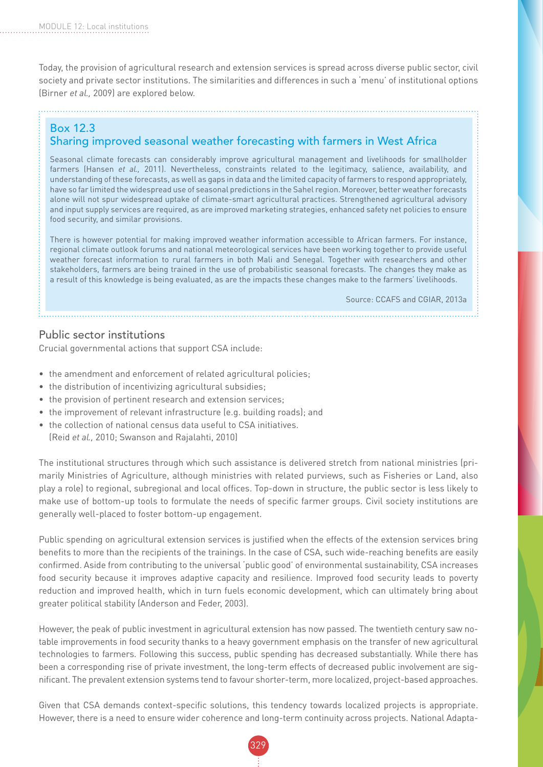Today, the provision of agricultural research and extension services is spread across diverse public sector, civil society and private sector institutions. The similarities and differences in such a 'menu' of institutional options (Birner *et al.,* 2009) are explored below.

## Box 12.3 Sharing improved seasonal weather forecasting with farmers in West Africa

Seasonal climate forecasts can considerably improve agricultural management and livelihoods for smallholder farmers (Hansen *et al.,* 2011). Nevertheless, constraints related to the legitimacy, salience, availability, and understanding of these forecasts, as well as gaps in data and the limited capacity of farmers to respond appropriately, have so far limited the widespread use of seasonal predictions in the Sahel region. Moreover, better weather forecasts alone will not spur widespread uptake of climate-smart agricultural practices. Strengthened agricultural advisory and input supply services are required, as are improved marketing strategies, enhanced safety net policies to ensure food security, and similar provisions.

There is however potential for making improved weather information accessible to African farmers. For instance, regional climate outlook forums and national meteorological services have been working together to provide useful weather forecast information to rural farmers in both Mali and Senegal. Together with researchers and other stakeholders, farmers are being trained in the use of probabilistic seasonal forecasts. The changes they make as a result of this knowledge is being evaluated, as are the impacts these changes make to the farmers' livelihoods.

Source: CCAFS and CGIAR, 2013a

### Public sector institutions

Crucial governmental actions that support CSA include:

- the amendment and enforcement of related agricultural policies;
- the distribution of incentivizing agricultural subsidies;
- the provision of pertinent research and extension services;
- the improvement of relevant infrastructure (e.g. building roads); and
- the collection of national census data useful to CSA initiatives. (Reid *et al.,* 2010; Swanson and Rajalahti, 2010)

The institutional structures through which such assistance is delivered stretch from national ministries (primarily Ministries of Agriculture, although ministries with related purviews, such as Fisheries or Land, also play a role) to regional, subregional and local offices. Top-down in structure, the public sector is less likely to make use of bottom-up tools to formulate the needs of specific farmer groups. Civil society institutions are generally well-placed to foster bottom-up engagement.

Public spending on agricultural extension services is justified when the effects of the extension services bring benefits to more than the recipients of the trainings. In the case of CSA, such wide-reaching benefits are easily confirmed. Aside from contributing to the universal 'public good' of environmental sustainability, CSA increases food security because it improves adaptive capacity and resilience. Improved food security leads to poverty reduction and improved health, which in turn fuels economic development, which can ultimately bring about greater political stability (Anderson and Feder, 2003).

However, the peak of public investment in agricultural extension has now passed. The twentieth century saw notable improvements in food security thanks to a heavy government emphasis on the transfer of new agricultural technologies to farmers. Following this success, public spending has decreased substantially. While there has been a corresponding rise of private investment, the long-term effects of decreased public involvement are significant. The prevalent extension systems tend to favour shorter-term, more localized, project-based approaches.

Given that CSA demands context-specific solutions, this tendency towards localized projects is appropriate. However, there is a need to ensure wider coherence and long-term continuity across projects. National Adapta-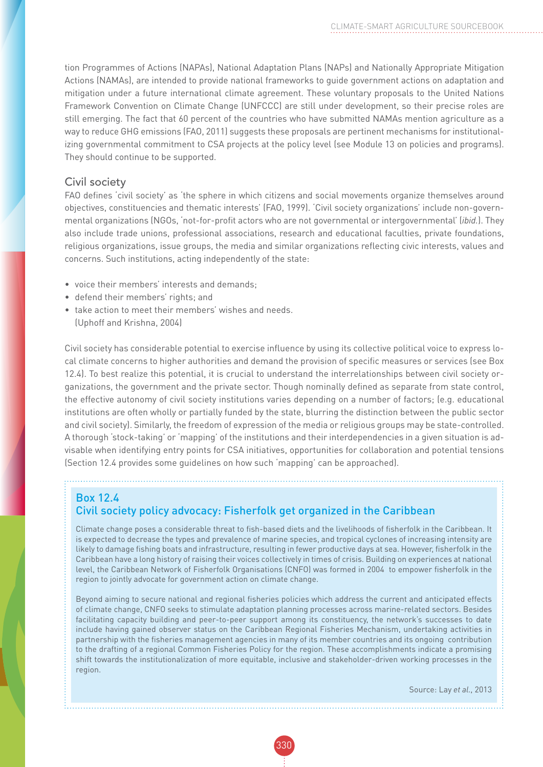tion Programmes of Actions (NAPAs), National Adaptation Plans (NAPs) and Nationally Appropriate Mitigation Actions (NAMAs), are intended to provide national frameworks to guide government actions on adaptation and mitigation under a future international climate agreement. These voluntary proposals to the United Nations Framework Convention on Climate Change (UNFCCC) are still under development, so their precise roles are still emerging. The fact that 60 percent of the countries who have submitted NAMAs mention agriculture as a way to reduce GHG emissions (FAO, 2011) suggests these proposals are pertinent mechanisms for institutionalizing governmental commitment to CSA projects at the policy level (see Module 13 on policies and programs). They should continue to be supported.

### Civil society

FAO defines 'civil society' as 'the sphere in which citizens and social movements organize themselves around objectives, constituencies and thematic interests' (FAO, 1999). 'Civil society organizations' include non-governmental organizations (NGOs, 'not-for-profit actors who are not governmental or intergovernmental' (*ibid.*). They also include trade unions, professional associations, research and educational faculties, private foundations, religious organizations, issue groups, the media and similar organizations reflecting civic interests, values and concerns. Such institutions, acting independently of the state:

- voice their members' interests and demands;
- defend their members' rights: and
- take action to meet their members' wishes and needs. (Uphoff and Krishna, 2004)

Civil society has considerable potential to exercise influence by using its collective political voice to express local climate concerns to higher authorities and demand the provision of specific measures or services (see Box 12.4). To best realize this potential, it is crucial to understand the interrelationships between civil society organizations, the government and the private sector. Though nominally defined as separate from state control, the effective autonomy of civil society institutions varies depending on a number of factors; (e.g. educational institutions are often wholly or partially funded by the state, blurring the distinction between the public sector and civil society). Similarly, the freedom of expression of the media or religious groups may be state-controlled. A thorough 'stock-taking' or 'mapping' of the institutions and their interdependencies in a given situation is advisable when identifying entry points for CSA initiatives, opportunities for collaboration and potential tensions (Section 12.4 provides some guidelines on how such 'mapping' can be approached).

## Box 12.4 Civil society policy advocacy: Fisherfolk get organized in the Caribbean

Climate change poses a considerable threat to fish-based diets and the livelihoods of fisherfolk in the Caribbean. It is expected to decrease the types and prevalence of marine species, and tropical cyclones of increasing intensity are likely to damage fishing boats and infrastructure, resulting in fewer productive days at sea. However, fisherfolk in the Caribbean have a long history of raising their voices collectively in times of crisis. Building on experiences at national level, the Caribbean Network of Fisherfolk Organisations (CNFO) was formed in 2004 to empower fisherfolk in the region to jointly advocate for government action on climate change.

Beyond aiming to secure national and regional fisheries policies which address the current and anticipated effects of climate change, CNFO seeks to stimulate adaptation planning processes across marine-related sectors. Besides facilitating capacity building and peer-to-peer support among its constituency, the network's successes to date include having gained observer status on the Caribbean Regional Fisheries Mechanism, undertaking activities in partnership with the fisheries management agencies in many of its member countries and its ongoing contribution to the drafting of a regional Common Fisheries Policy for the region. These accomplishments indicate a promising shift towards the institutionalization of more equitable, inclusive and stakeholder-driven working processes in the region.

Source: Lay *et al*., 2013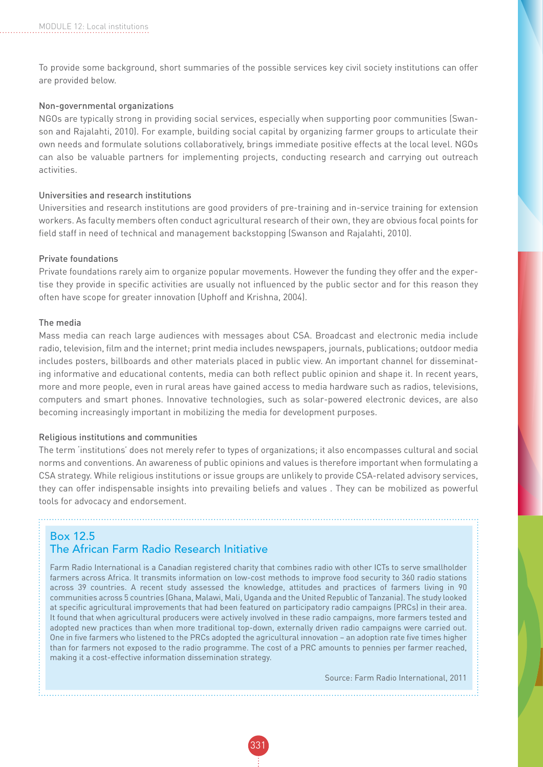To provide some background, short summaries of the possible services key civil society institutions can offer are provided below.

#### Non-governmental organizations

NGOs are typically strong in providing social services, especially when supporting poor communities (Swanson and Rajalahti, 2010). For example, building social capital by organizing farmer groups to articulate their own needs and formulate solutions collaboratively, brings immediate positive effects at the local level. NGOs can also be valuable partners for implementing projects, conducting research and carrying out outreach activities.

### Universities and research institutions

Universities and research institutions are good providers of pre-training and in-service training for extension workers. As faculty members often conduct agricultural research of their own, they are obvious focal points for field staff in need of technical and management backstopping (Swanson and Rajalahti, 2010).

#### Private foundations

Private foundations rarely aim to organize popular movements. However the funding they offer and the expertise they provide in specific activities are usually not influenced by the public sector and for this reason they often have scope for greater innovation (Uphoff and Krishna, 2004).

#### The media

Mass media can reach large audiences with messages about CSA. Broadcast and electronic media include radio, television, film and the internet; print media includes newspapers, journals, publications; outdoor media includes posters, billboards and other materials placed in public view. An important channel for disseminating informative and educational contents, media can both reflect public opinion and shape it. In recent years, more and more people, even in rural areas have gained access to media hardware such as radios, televisions, computers and smart phones. Innovative technologies, such as solar-powered electronic devices, are also becoming increasingly important in mobilizing the media for development purposes.

#### Religious institutions and communities

The term 'institutions' does not merely refer to types of organizations; it also encompasses cultural and social norms and conventions. An awareness of public opinions and values is therefore important when formulating a CSA strategy. While religious institutions or issue groups are unlikely to provide CSA-related advisory services, they can offer indispensable insights into prevailing beliefs and values . They can be mobilized as powerful tools for advocacy and endorsement.

## Box 12.5 The African Farm Radio Research Initiative

Farm Radio International is a Canadian registered charity that combines radio with other ICTs to serve smallholder farmers across Africa. It transmits information on low-cost methods to improve food security to 360 radio stations across 39 countries. A recent study assessed the knowledge, attitudes and practices of farmers living in 90 communities across 5 countries (Ghana, Malawi, Mali, Uganda and the United Republic of Tanzania). The study looked at specific agricultural improvements that had been featured on participatory radio campaigns (PRCs) in their area. It found that when agricultural producers were actively involved in these radio campaigns, more farmers tested and adopted new practices than when more traditional top-down, externally driven radio campaigns were carried out. One in five farmers who listened to the PRCs adopted the agricultural innovation – an adoption rate five times higher than for farmers not exposed to the radio programme. The cost of a PRC amounts to pennies per farmer reached, making it a cost-effective information dissemination strategy.

331

Source: Farm Radio International, 2011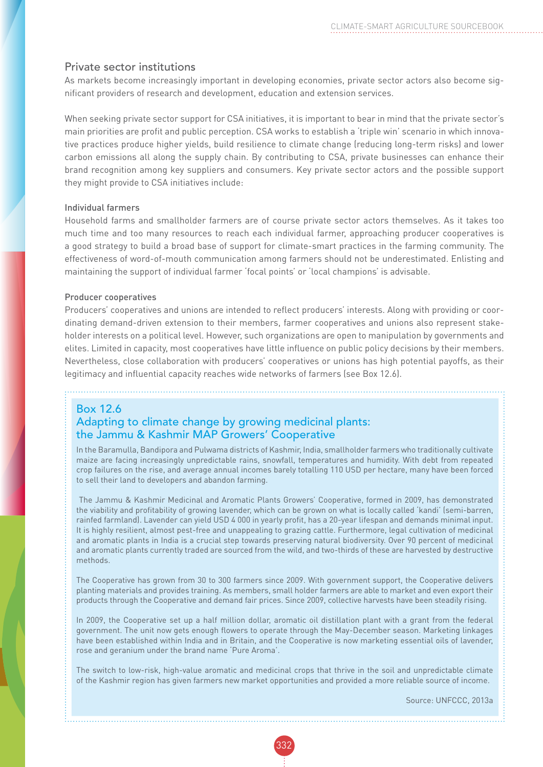### Private sector institutions

As markets become increasingly important in developing economies, private sector actors also become significant providers of research and development, education and extension services.

When seeking private sector support for CSA initiatives, it is important to bear in mind that the private sector's main priorities are profit and public perception. CSA works to establish a 'triple win' scenario in which innovative practices produce higher yields, build resilience to climate change (reducing long-term risks) and lower carbon emissions all along the supply chain. By contributing to CSA, private businesses can enhance their brand recognition among key suppliers and consumers. Key private sector actors and the possible support they might provide to CSA initiatives include:

#### Individual farmers

Household farms and smallholder farmers are of course private sector actors themselves. As it takes too much time and too many resources to reach each individual farmer, approaching producer cooperatives is a good strategy to build a broad base of support for climate-smart practices in the farming community. The effectiveness of word-of-mouth communication among farmers should not be underestimated. Enlisting and maintaining the support of individual farmer 'focal points' or 'local champions' is advisable.

#### Producer cooperatives

Producers' cooperatives and unions are intended to reflect producers' interests. Along with providing or coordinating demand-driven extension to their members, farmer cooperatives and unions also represent stakeholder interests on a political level. However, such organizations are open to manipulation by governments and elites. Limited in capacity, most cooperatives have little influence on public policy decisions by their members. Nevertheless, close collaboration with producers' cooperatives or unions has high potential payoffs, as their legitimacy and influential capacity reaches wide networks of farmers (see Box 12.6).

### Box 12.6 Adapting to climate change by growing medicinal plants: the Jammu & Kashmir MAP Growers' Cooperative

In the Baramulla, Bandipora and Pulwama districts of Kashmir, India, smallholder farmers who traditionally cultivate maize are facing increasingly unpredictable rains, snowfall, temperatures and humidity. With debt from repeated crop failures on the rise, and average annual incomes barely totalling 110 USD per hectare, many have been forced to sell their land to developers and abandon farming.

 The Jammu & Kashmir Medicinal and Aromatic Plants Growers' Cooperative, formed in 2009, has demonstrated the viability and profitability of growing lavender, which can be grown on what is locally called 'kandi' (semi-barren, rainfed farmland). Lavender can yield USD 4 000 in yearly profit, has a 20-year lifespan and demands minimal input. It is highly resilient, almost pest-free and unappealing to grazing cattle. Furthermore, legal cultivation of medicinal and aromatic plants in India is a crucial step towards preserving natural biodiversity. Over 90 percent of medicinal and aromatic plants currently traded are sourced from the wild, and two-thirds of these are harvested by destructive methods.

The Cooperative has grown from 30 to 300 farmers since 2009. With government support, the Cooperative delivers planting materials and provides training. As members, small holder farmers are able to market and even export their products through the Cooperative and demand fair prices. Since 2009, collective harvests have been steadily rising.

In 2009, the Cooperative set up a half million dollar, aromatic oil distillation plant with a grant from the federal government. The unit now gets enough flowers to operate through the May-December season. Marketing linkages have been established within India and in Britain, and the Cooperative is now marketing essential oils of lavender, rose and geranium under the brand name 'Pure Aroma'.

The switch to low-risk, high-value aromatic and medicinal crops that thrive in the soil and unpredictable climate of the Kashmir region has given farmers new market opportunities and provided a more reliable source of income.

332

Source: UNFCCC, 2013a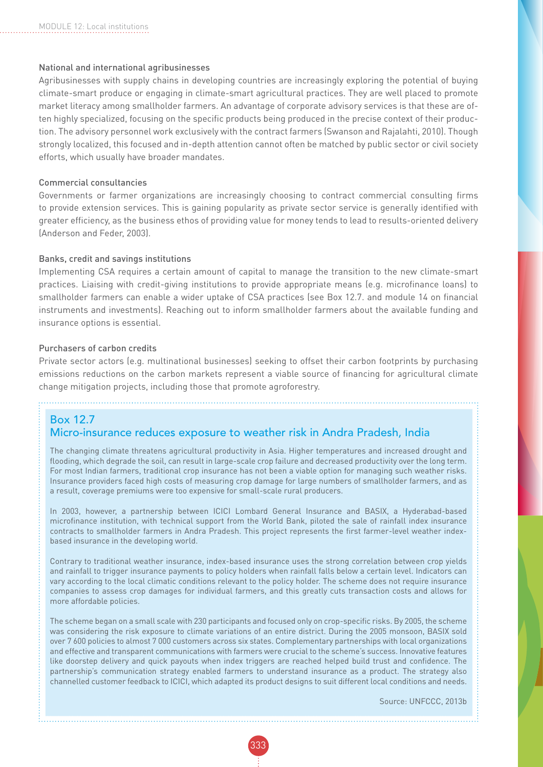#### National and international agribusinesses

Agribusinesses with supply chains in developing countries are increasingly exploring the potential of buying climate-smart produce or engaging in climate-smart agricultural practices. They are well placed to promote market literacy among smallholder farmers. An advantage of corporate advisory services is that these are often highly specialized, focusing on the specific products being produced in the precise context of their production. The advisory personnel work exclusively with the contract farmers (Swanson and Rajalahti, 2010). Though strongly localized, this focused and in-depth attention cannot often be matched by public sector or civil society efforts, which usually have broader mandates.

#### Commercial consultancies

Governments or farmer organizations are increasingly choosing to contract commercial consulting firms to provide extension services. This is gaining popularity as private sector service is generally identified with greater efficiency, as the business ethos of providing value for money tends to lead to results-oriented delivery (Anderson and Feder, 2003).

#### Banks, credit and savings institutions

Implementing CSA requires a certain amount of capital to manage the transition to the new climate-smart practices. Liaising with credit-giving institutions to provide appropriate means (e.g. microfinance loans) to smallholder farmers can enable a wider uptake of CSA practices (see Box 12.7. and module 14 on financial instruments and investments). Reaching out to inform smallholder farmers about the available funding and insurance options is essential.

#### Purchasers of carbon credits

Private sector actors (e.g. multinational businesses) seeking to offset their carbon footprints by purchasing emissions reductions on the carbon markets represent a viable source of financing for agricultural climate change mitigation projects, including those that promote agroforestry.

## Box 12.7 Micro-insurance reduces exposure to weather risk in Andra Pradesh, India

The changing climate threatens agricultural productivity in Asia. Higher temperatures and increased drought and flooding, which degrade the soil, can result in large-scale crop failure and decreased productivity over the long term. For most Indian farmers, traditional crop insurance has not been a viable option for managing such weather risks. Insurance providers faced high costs of measuring crop damage for large numbers of smallholder farmers, and as a result, coverage premiums were too expensive for small-scale rural producers.

In 2003, however, a partnership between ICICI Lombard General Insurance and BASIX, a Hyderabad-based microfinance institution, with technical support from the World Bank, piloted the sale of rainfall index insurance contracts to smallholder farmers in Andra Pradesh. This project represents the first farmer-level weather indexbased insurance in the developing world.

Contrary to traditional weather insurance, index-based insurance uses the strong correlation between crop yields and rainfall to trigger insurance payments to policy holders when rainfall falls below a certain level. Indicators can vary according to the local climatic conditions relevant to the policy holder. The scheme does not require insurance companies to assess crop damages for individual farmers, and this greatly cuts transaction costs and allows for more affordable policies.

The scheme began on a small scale with 230 participants and focused only on crop-specific risks. By 2005, the scheme was considering the risk exposure to climate variations of an entire district. During the 2005 monsoon, BASIX sold over 7 600 policies to almost 7 000 customers across six states. Complementary partnerships with local organizations and effective and transparent communications with farmers were crucial to the scheme's success. Innovative features like doorstep delivery and quick payouts when index triggers are reached helped build trust and confidence. The partnership's communication strategy enabled farmers to understand insurance as a product. The strategy also channelled customer feedback to ICICI, which adapted its product designs to suit different local conditions and needs.

333

Source: UNFCCC, 2013b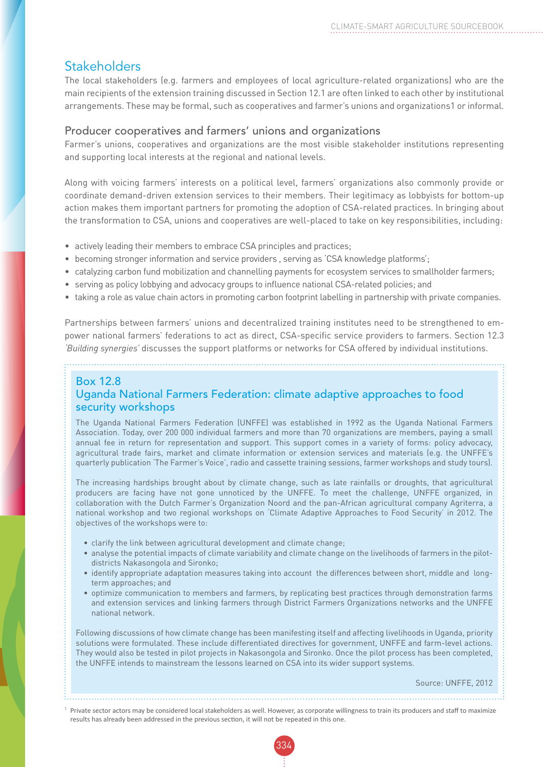## **Stakeholders**

The local stakeholders (e.g. farmers and employees of local agriculture-related organizations) who are the main recipients of the extension training discussed in Section 12.1 are often linked to each other by institutional arrangements. These may be formal, such as cooperatives and farmer's unions and organizations1 or informal.

### Producer cooperatives and farmers' unions and organizations

Farmer's unions, cooperatives and organizations are the most visible stakeholder institutions representing and supporting local interests at the regional and national levels.

Along with voicing farmers' interests on a political level, farmers' organizations also commonly provide or coordinate demand-driven extension services to their members. Their legitimacy as lobbyists for bottom-up action makes them important partners for promoting the adoption of CSA-related practices. In bringing about the transformation to CSA, unions and cooperatives are well-placed to take on key responsibilities, including:

- actively leading their members to embrace CSA principles and practices;
- becoming stronger information and service providers, serving as 'CSA knowledge platforms';
- • catalyzing carbon fund mobilization and channelling payments for ecosystem services to smallholder farmers;
- • serving as policy lobbying and advocacy groups to influence national CSA-related policies; and
- taking a role as value chain actors in promoting carbon footprint labelling in partnership with private companies.

Partnerships between farmers' unions and decentralized training institutes need to be strengthened to empower national farmers' federations to act as direct, CSA-specific service providers to farmers. Section 12.3 *'Building synergies'* discusses the support platforms or networks for CSA offered by individual institutions.

## Box 12.8 Uganda National Farmers Federation: climate adaptive approaches to food security workshops

The Uganda National Farmers Federation (UNFFE) was established in 1992 as the Uganda National Farmers Association. Today, over 200 000 individual farmers and more than 70 organizations are members, paying a small annual fee in return for representation and support. This support comes in a variety of forms: policy advocacy, agricultural trade fairs, market and climate information or extension services and materials (e.g. the UNFFE's quarterly publication 'The Farmer's Voice', radio and cassette training sessions, farmer workshops and study tours).

The increasing hardships brought about by climate change, such as late rainfalls or droughts, that agricultural producers are facing have not gone unnoticed by the UNFFE. To meet the challenge, UNFFE organized, in collaboration with the Dutch Farmer's Organization Noord and the pan-African agricultural company Agriterra, a national workshop and two regional workshops on 'Climate Adaptive Approaches to Food Security' in 2012. The objectives of the workshops were to:

- clarify the link between agricultural development and climate change;
- analyse the potential impacts of climate variability and climate change on the livelihoods of farmers in the pilotdistricts Nakasongola and Sironko;
- identify appropriate adaptation measures taking into account the differences between short, middle and longterm approaches; and
- • optimize communication to members and farmers, by replicating best practices through demonstration farms and extension services and linking farmers through District Farmers Organizations networks and the UNFFE national network.

Following discussions of how climate change has been manifesting itself and affecting livelihoods in Uganda, priority solutions were formulated. These include differentiated directives for government, UNFFE and farm-level actions. They would also be tested in pilot projects in Nakasongola and Sironko. Once the pilot process has been completed, the UNFFE intends to mainstream the lessons learned on CSA into its wider support systems.

Source: UNFFE, 2012

<sup>1</sup> Private sector actors may be considered local stakeholders as well. However, as corporate willingness to train its producers and staff to maximize results has already been addressed in the previous section, it will not be repeated in this one.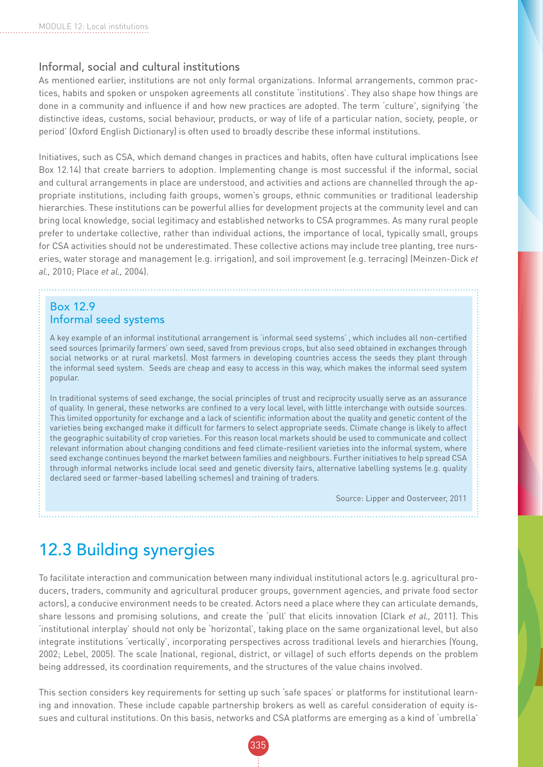### Informal, social and cultural institutions

As mentioned earlier, institutions are not only formal organizations. Informal arrangements, common practices, habits and spoken or unspoken agreements all constitute 'institutions'. They also shape how things are done in a community and influence if and how new practices are adopted. The term 'culture', signifying 'the distinctive ideas, customs, social behaviour, products, or way of life of a particular nation, society, people, or period' (Oxford English Dictionary) is often used to broadly describe these informal institutions.

Initiatives, such as CSA, which demand changes in practices and habits, often have cultural implications (see Box 12.14) that create barriers to adoption. Implementing change is most successful if the informal, social and cultural arrangements in place are understood, and activities and actions are channelled through the appropriate institutions, including faith groups, women's groups, ethnic communities or traditional leadership hierarchies. These institutions can be powerful allies for development projects at the community level and can bring local knowledge, social legitimacy and established networks to CSA programmes. As many rural people prefer to undertake collective, rather than individual actions, the importance of local, typically small, groups for CSA activities should not be underestimated. These collective actions may include tree planting, tree nurseries, water storage and management (e.g. irrigation), and soil improvement (e.g. terracing) (Meinzen-Dick *et al.,* 2010; Place *et al.,* 2004).

## Box 12.9 Informal seed systems

A key example of an informal institutional arrangement is 'informal seed systems' , which includes all non-certified seed sources (primarily farmers' own seed, saved from previous crops, but also seed obtained in exchanges through social networks or at rural markets). Most farmers in developing countries access the seeds they plant through the informal seed system. Seeds are cheap and easy to access in this way, which makes the informal seed system popular.

In traditional systems of seed exchange, the social principles of trust and reciprocity usually serve as an assurance of quality. In general, these networks are confined to a very local level, with little interchange with outside sources. This limited opportunity for exchange and a lack of scientific information about the quality and genetic content of the varieties being exchanged make it difficult for farmers to select appropriate seeds. Climate change is likely to affect the geographic suitability of crop varieties. For this reason local markets should be used to communicate and collect relevant information about changing conditions and feed climate-resilient varieties into the informal system, where seed exchange continues beyond the market between families and neighbours. Further initiatives to help spread CSA through informal networks include local seed and genetic diversity fairs, alternative labelling systems (e.g. quality declared seed or farmer-based labelling schemes) and training of traders.

Source: Lipper and Oosterveer, 2011

## 12.3 Building synergies

To facilitate interaction and communication between many individual institutional actors (e.g. agricultural producers, traders, community and agricultural producer groups, government agencies, and private food sector actors), a conducive environment needs to be created. Actors need a place where they can articulate demands, share lessons and promising solutions, and create the 'pull' that elicits innovation (Clark *et al.,* 2011). This 'institutional interplay' should not only be 'horizontal', taking place on the same organizational level, but also integrate institutions 'vertically', incorporating perspectives across traditional levels and hierarchies (Young, 2002; Lebel, 2005). The scale (national, regional, district, or village) of such efforts depends on the problem being addressed, its coordination requirements, and the structures of the value chains involved.

This section considers key requirements for setting up such 'safe spaces' or platforms for institutional learning and innovation. These include capable partnership brokers as well as careful consideration of equity issues and cultural institutions. On this basis, networks and CSA platforms are emerging as a kind of 'umbrella'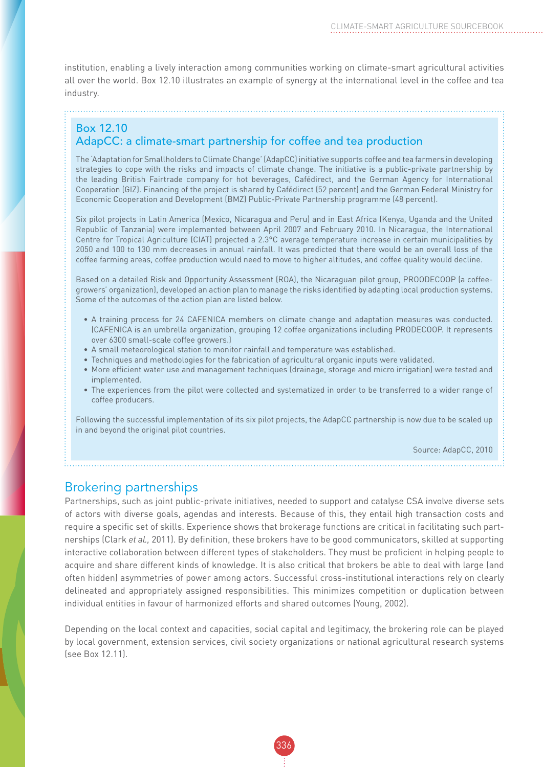institution, enabling a lively interaction among communities working on climate-smart agricultural activities all over the world. Box 12.10 illustrates an example of synergy at the international level in the coffee and tea industry.

## Box 12.10 AdapCC: a climate-smart partnership for coffee and tea production

The 'Adaptation for Smallholders to Climate Change' (AdapCC) initiative supports coffee and tea farmers in developing strategies to cope with the risks and impacts of climate change. The initiative is a public-private partnership by the leading British Fairtrade company for hot beverages, Cafédirect, and the German Agency for International Cooperation (GIZ). Financing of the project is shared by Cafédirect (52 percent) and the German Federal Ministry for Economic Cooperation and Development (BMZ) Public-Private Partnership programme (48 percent).

Six pilot projects in Latin America (Mexico, Nicaragua and Peru) and in East Africa (Kenya, Uganda and the United Republic of Tanzania) were implemented between April 2007 and February 2010. In Nicaragua, the International Centre for Tropical Agriculture (CIAT) projected a 2.3°C average temperature increase in certain municipalities by 2050 and 100 to 130 mm decreases in annual rainfall. It was predicted that there would be an overall loss of the coffee farming areas, coffee production would need to move to higher altitudes, and coffee quality would decline.

Based on a detailed Risk and Opportunity Assessment (ROA), the Nicaraguan pilot group, PROODECOOP (a coffeegrowers' organization), developed an action plan to manage the risks identified by adapting local production systems. Some of the outcomes of the action plan are listed below.

- A training process for 24 CAFENICA members on climate change and adaptation measures was conducted. (CAFENICA is an umbrella organization, grouping 12 coffee organizations including PRODECOOP. It represents over 6300 small-scale coffee growers.)
- • A small meteorological station to monitor rainfall and temperature was established.
- • Techniques and methodologies for the fabrication of agricultural organic inputs were validated.
- • More efficient water use and management techniques (drainage, storage and micro irrigation) were tested and implemented.
- • The experiences from the pilot were collected and systematized in order to be transferred to a wider range of coffee producers.

Following the successful implementation of its six pilot projects, the AdapCC partnership is now due to be scaled up in and beyond the original pilot countries.

Source: AdapCC, 2010

## Brokering partnerships

Partnerships, such as joint public-private initiatives, needed to support and catalyse CSA involve diverse sets of actors with diverse goals, agendas and interests. Because of this, they entail high transaction costs and require a specific set of skills. Experience shows that brokerage functions are critical in facilitating such partnerships (Clark *et al.,* 2011). By definition, these brokers have to be good communicators, skilled at supporting interactive collaboration between different types of stakeholders. They must be proficient in helping people to acquire and share different kinds of knowledge. It is also critical that brokers be able to deal with large (and often hidden) asymmetries of power among actors. Successful cross-institutional interactions rely on clearly delineated and appropriately assigned responsibilities. This minimizes competition or duplication between individual entities in favour of harmonized efforts and shared outcomes (Young, 2002).

Depending on the local context and capacities, social capital and legitimacy, the brokering role can be played by local government, extension services, civil society organizations or national agricultural research systems (see Box 12.11).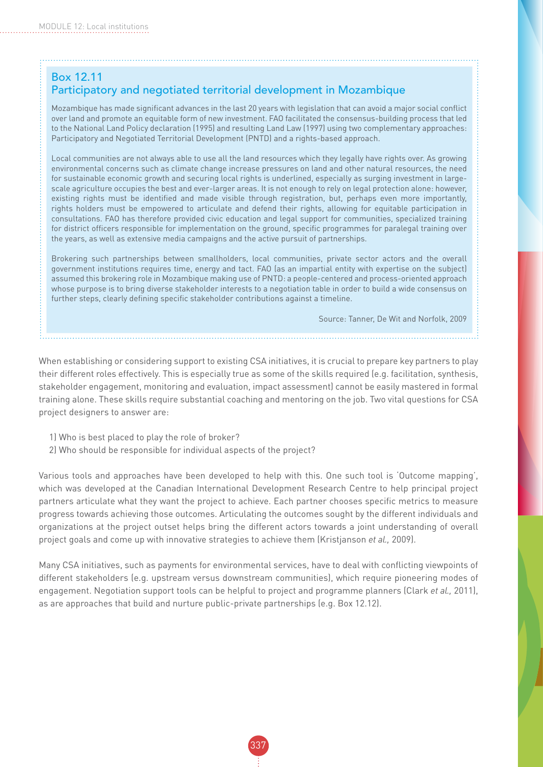## Box 12.11 Participatory and negotiated territorial development in Mozambique

Mozambique has made significant advances in the last 20 years with legislation that can avoid a major social conflict over land and promote an equitable form of new investment. FAO facilitated the consensus-building process that led to the National Land Policy declaration (1995) and resulting Land Law (1997) using two complementary approaches: Participatory and Negotiated Territorial Development (PNTD) and a rights-based approach.

Local communities are not always able to use all the land resources which they legally have rights over. As growing environmental concerns such as climate change increase pressures on land and other natural resources, the need for sustainable economic growth and securing local rights is underlined, especially as surging investment in largescale agriculture occupies the best and ever-larger areas. It is not enough to rely on legal protection alone: however, existing rights must be identified and made visible through registration, but, perhaps even more importantly, rights holders must be empowered to articulate and defend their rights, allowing for equitable participation in consultations. FAO has therefore provided civic education and legal support for communities, specialized training for district officers responsible for implementation on the ground, specific programmes for paralegal training over the years, as well as extensive media campaigns and the active pursuit of partnerships.

Brokering such partnerships between smallholders, local communities, private sector actors and the overall government institutions requires time, energy and tact. FAO (as an impartial entity with expertise on the subject) assumed this brokering role in Mozambique making use of PNTD: a people-centered and process-oriented approach whose purpose is to bring diverse stakeholder interests to a negotiation table in order to build a wide consensus on further steps, clearly defining specific stakeholder contributions against a timeline.

Source: Tanner, De Wit and Norfolk, 2009

When establishing or considering support to existing CSA initiatives, it is crucial to prepare key partners to play their different roles effectively. This is especially true as some of the skills required (e.g. facilitation, synthesis, stakeholder engagement, monitoring and evaluation, impact assessment) cannot be easily mastered in formal training alone. These skills require substantial coaching and mentoring on the job. Two vital questions for CSA project designers to answer are:

- 1) Who is best placed to play the role of broker?
- 2) Who should be responsible for individual aspects of the project?

Various tools and approaches have been developed to help with this. One such tool is 'Outcome mapping', which was developed at the Canadian International Development Research Centre to help principal project partners articulate what they want the project to achieve. Each partner chooses specific metrics to measure progress towards achieving those outcomes. Articulating the outcomes sought by the different individuals and organizations at the project outset helps bring the different actors towards a joint understanding of overall project goals and come up with innovative strategies to achieve them (Kristjanson *et al.,* 2009).

Many CSA initiatives, such as payments for environmental services, have to deal with conflicting viewpoints of different stakeholders (e.g. upstream versus downstream communities), which require pioneering modes of engagement. Negotiation support tools can be helpful to project and programme planners (Clark *et al.,* 2011), as are approaches that build and nurture public-private partnerships (e.g. Box 12.12).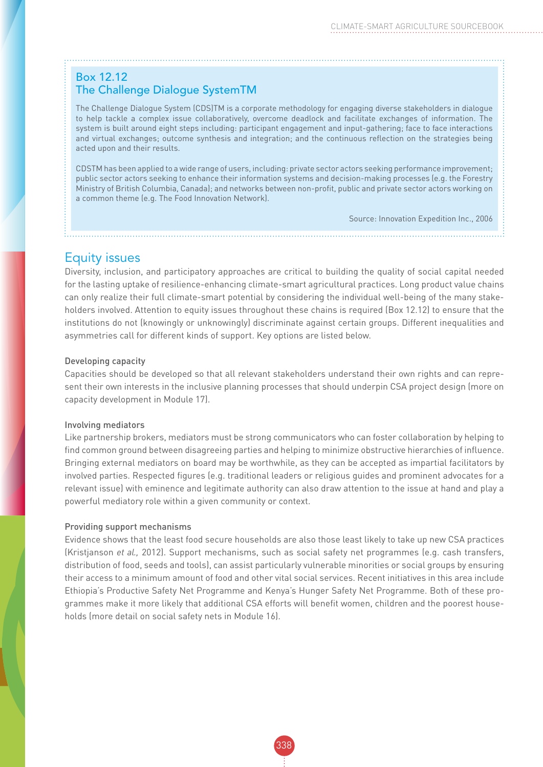## Box 12.12 The Challenge Dialogue SystemTM

The Challenge Dialogue System (CDS)TM is a corporate methodology for engaging diverse stakeholders in dialogue to help tackle a complex issue collaboratively, overcome deadlock and facilitate exchanges of information. The system is built around eight steps including: participant engagement and input-gathering; face to face interactions and virtual exchanges; outcome synthesis and integration; and the continuous reflection on the strategies being acted upon and their results.

CDSTM has been applied to a wide range of users, including: private sector actors seeking performance improvement; public sector actors seeking to enhance their information systems and decision-making processes (e.g. the Forestry Ministry of British Columbia, Canada); and networks between non-profit, public and private sector actors working on a common theme (e.g. The Food Innovation Network).

Source: Innovation Expedition Inc., 2006

## Equity issues

Diversity, inclusion, and participatory approaches are critical to building the quality of social capital needed for the lasting uptake of resilience-enhancing climate-smart agricultural practices. Long product value chains can only realize their full climate-smart potential by considering the individual well-being of the many stakeholders involved. Attention to equity issues throughout these chains is required (Box 12.12) to ensure that the institutions do not (knowingly or unknowingly) discriminate against certain groups. Different inequalities and asymmetries call for different kinds of support. Key options are listed below.

### Developing capacity

Capacities should be developed so that all relevant stakeholders understand their own rights and can represent their own interests in the inclusive planning processes that should underpin CSA project design (more on capacity development in Module 17).

### Involving mediators

Like partnership brokers, mediators must be strong communicators who can foster collaboration by helping to find common ground between disagreeing parties and helping to minimize obstructive hierarchies of influence. Bringing external mediators on board may be worthwhile, as they can be accepted as impartial facilitators by involved parties. Respected figures (e.g. traditional leaders or religious guides and prominent advocates for a relevant issue) with eminence and legitimate authority can also draw attention to the issue at hand and play a powerful mediatory role within a given community or context.

### Providing support mechanisms

Evidence shows that the least food secure households are also those least likely to take up new CSA practices (Kristjanson *et al.,* 2012). Support mechanisms, such as social safety net programmes (e.g. cash transfers, distribution of food, seeds and tools), can assist particularly vulnerable minorities or social groups by ensuring their access to a minimum amount of food and other vital social services. Recent initiatives in this area include Ethiopia's Productive Safety Net Programme and Kenya's Hunger Safety Net Programme. Both of these programmes make it more likely that additional CSA efforts will benefit women, children and the poorest households (more detail on social safety nets in Module 16).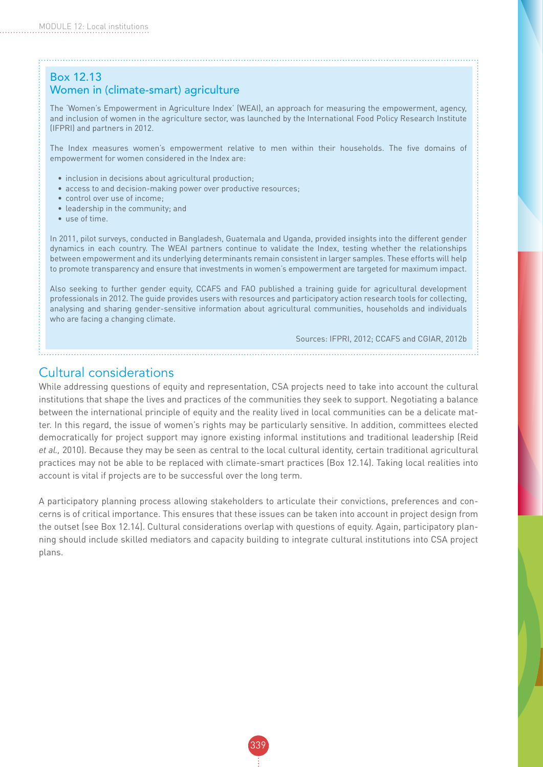## Box 12.13

## Women in (climate-smart) agriculture

The 'Women's Empowerment in Agriculture Index' (WEAI), an approach for measuring the empowerment, agency, and inclusion of women in the agriculture sector, was launched by the International Food Policy Research Institute (IFPRI) and partners in 2012.

The Index measures women's empowerment relative to men within their households. The five domains of empowerment for women considered in the Index are:

- inclusion in decisions about agricultural production;
- access to and decision-making power over productive resources;
- control over use of income;
- • leadership in the community; and
- use of time.

In 2011, pilot surveys, conducted in Bangladesh, Guatemala and Uganda, provided insights into the different gender dynamics in each country. The WEAI partners continue to validate the Index, testing whether the relationships between empowerment and its underlying determinants remain consistent in larger samples. These efforts will help to promote transparency and ensure that investments in women's empowerment are targeted for maximum impact.

Also seeking to further gender equity, CCAFS and FAO published a training guide for agricultural development professionals in 2012. The guide provides users with resources and participatory action research tools for collecting, analysing and sharing gender-sensitive information about agricultural communities, households and individuals who are facing a changing climate.

Sources: IFPRI, 2012; CCAFS and CGIAR, 2012b

## Cultural considerations

While addressing questions of equity and representation, CSA projects need to take into account the cultural institutions that shape the lives and practices of the communities they seek to support. Negotiating a balance between the international principle of equity and the reality lived in local communities can be a delicate matter. In this regard, the issue of women's rights may be particularly sensitive. In addition, committees elected democratically for project support may ignore existing informal institutions and traditional leadership (Reid *et al.,* 2010). Because they may be seen as central to the local cultural identity, certain traditional agricultural practices may not be able to be replaced with climate-smart practices (Box 12.14). Taking local realities into account is vital if projects are to be successful over the long term.

A participatory planning process allowing stakeholders to articulate their convictions, preferences and concerns is of critical importance. This ensures that these issues can be taken into account in project design from the outset (see Box 12.14). Cultural considerations overlap with questions of equity. Again, participatory planning should include skilled mediators and capacity building to integrate cultural institutions into CSA project plans.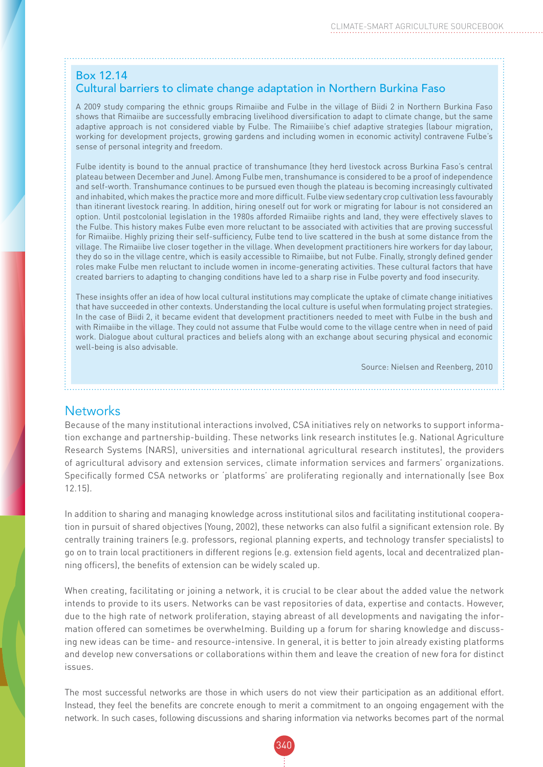## Box 12.14 Cultural barriers to climate change adaptation in Northern Burkina Faso

A 2009 study comparing the ethnic groups Rimaiibe and Fulbe in the village of Biidi 2 in Northern Burkina Faso shows that Rimaiibe are successfully embracing livelihood diversification to adapt to climate change, but the same adaptive approach is not considered viable by Fulbe. The Rimaiiibe's chief adaptive strategies (labour migration, working for development projects, growing gardens and including women in economic activity) contravene Fulbe's sense of personal integrity and freedom.

Fulbe identity is bound to the annual practice of transhumance (they herd livestock across Burkina Faso's central plateau between December and June). Among Fulbe men, transhumance is considered to be a proof of independence and self-worth. Transhumance continues to be pursued even though the plateau is becoming increasingly cultivated and inhabited, which makes the practice more and more difficult. Fulbe view sedentary crop cultivation less favourably than itinerant livestock rearing. In addition, hiring oneself out for work or migrating for labour is not considered an option. Until postcolonial legislation in the 1980s afforded Rimaiibe rights and land, they were effectively slaves to the Fulbe. This history makes Fulbe even more reluctant to be associated with activities that are proving successful for Rimaiibe. Highly prizing their self-sufficiency, Fulbe tend to live scattered in the bush at some distance from the village. The Rimaiibe live closer together in the village. When development practitioners hire workers for day labour, they do so in the village centre, which is easily accessible to Rimaiibe, but not Fulbe. Finally, strongly defined gender roles make Fulbe men reluctant to include women in income-generating activities. These cultural factors that have created barriers to adapting to changing conditions have led to a sharp rise in Fulbe poverty and food insecurity.

These insights offer an idea of how local cultural institutions may complicate the uptake of climate change initiatives that have succeeded in other contexts. Understanding the local culture is useful when formulating project strategies. In the case of Biidi 2, it became evident that development practitioners needed to meet with Fulbe in the bush and with Rimaiibe in the village. They could not assume that Fulbe would come to the village centre when in need of paid work. Dialogue about cultural practices and beliefs along with an exchange about securing physical and economic well-being is also advisable.

Source: Nielsen and Reenberg, 2010

## **Networks**

Because of the many institutional interactions involved, CSA initiatives rely on networks to support information exchange and partnership-building. These networks link research institutes (e.g. National Agriculture Research Systems (NARS), universities and international agricultural research institutes), the providers of agricultural advisory and extension services, climate information services and farmers' organizations. Specifically formed CSA networks or 'platforms' are proliferating regionally and internationally (see Box 12.15).

In addition to sharing and managing knowledge across institutional silos and facilitating institutional cooperation in pursuit of shared objectives (Young, 2002), these networks can also fulfil a significant extension role. By centrally training trainers (e.g. professors, regional planning experts, and technology transfer specialists) to go on to train local practitioners in different regions (e.g. extension field agents, local and decentralized planning officers), the benefits of extension can be widely scaled up.

When creating, facilitating or joining a network, it is crucial to be clear about the added value the network intends to provide to its users. Networks can be vast repositories of data, expertise and contacts. However, due to the high rate of network proliferation, staying abreast of all developments and navigating the information offered can sometimes be overwhelming. Building up a forum for sharing knowledge and discussing new ideas can be time- and resource-intensive. In general, it is better to join already existing platforms and develop new conversations or collaborations within them and leave the creation of new fora for distinct issues.

The most successful networks are those in which users do not view their participation as an additional effort. Instead, they feel the benefits are concrete enough to merit a commitment to an ongoing engagement with the network. In such cases, following discussions and sharing information via networks becomes part of the normal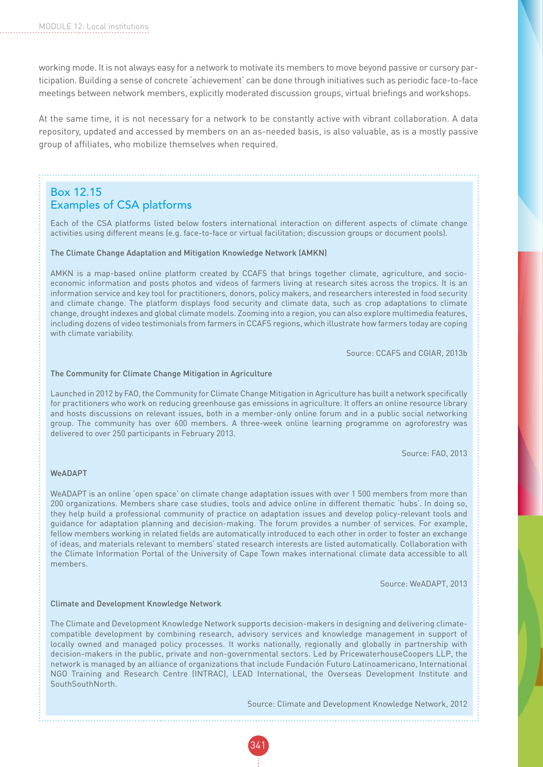working mode. It is not always easy for a network to motivate its members to move beyond passive or cursory participation. Building a sense of concrete 'achievement' can be done through initiatives such as periodic face-to-face meetings between network members, explicitly moderated discussion groups, virtual briefings and workshops.

At the same time, it is not necessary for a network to be constantly active with vibrant collaboration. A data repository, updated and accessed by members on an as-needed basis, is also valuable, as is a mostly passive group of affiliates, who mobilize themselves when required.

## Box 12.15 Examples of CSA platforms

Each of the CSA platforms listed below fosters international interaction on different aspects of climate change activities using different means (e.g. face-to-face or virtual facilitation; discussion groups or document pools).

#### The Climate Change Adaptation and Mitigation Knowledge Network (AMKN)

AMKN is a map-based online platform created by CCAFS that brings together climate, agriculture, and socioeconomic information and posts photos and videos of farmers living at research sites across the tropics. It is an information service and key tool for practitioners, donors, policy makers, and researchers interested in food security and climate change. The platform displays food security and climate data, such as crop adaptations to climate change, drought indexes and global climate models. Zooming into a region, you can also explore multimedia features, including dozens of video testimonials from farmers in CCAFS regions, which illustrate how farmers today are coping with climate variability.

Source: CCAFS and CGIAR, 2013b

#### The Community for Climate Change Mitigation in Agriculture

Launched in 2012 by FAO, the Community for Climate Change Mitigation in Agriculture has built a network specifically for practitioners who work on reducing greenhouse gas emissions in agriculture. It offers an online resource library and hosts discussions on relevant issues, both in a member-only online forum and in a public social networking group. The community has over 600 members. A three-week online learning programme on agroforestry was delivered to over 250 participants in February 2013.

Source: FAO, 2013

#### WeADAPT

WeADAPT is an online 'open space' on climate change adaptation issues with over 1 500 members from more than 200 organizations. Members share case studies, tools and advice online in different thematic 'hubs'. In doing so, they help build a professional community of practice on adaptation issues and develop policy-relevant tools and guidance for adaptation planning and decision-making. The forum provides a number of services. For example, fellow members working in related fields are automatically introduced to each other in order to foster an exchange of ideas, and materials relevant to members' stated research interests are listed automatically. Collaboration with the Climate Information Portal of the University of Cape Town makes international climate data accessible to all members.

Source: WeADAPT, 2013

#### Climate and Development Knowledge Network

The Climate and Development Knowledge Network supports decision-makers in designing and delivering climatecompatible development by combining research, advisory services and knowledge management in support of locally owned and managed policy processes. It works nationally, regionally and globally in partnership with decision-makers in the public, private and non-governmental sectors. Led by PricewaterhouseCoopers LLP, the network is managed by an alliance of organizations that include Fundación Futuro Latinoamericano, International NGO Training and Research Centre (INTRAC), LEAD International, the Overseas Development Institute and SouthSouthNorth.

341

Source: Climate and Development Knowledge Network, 2012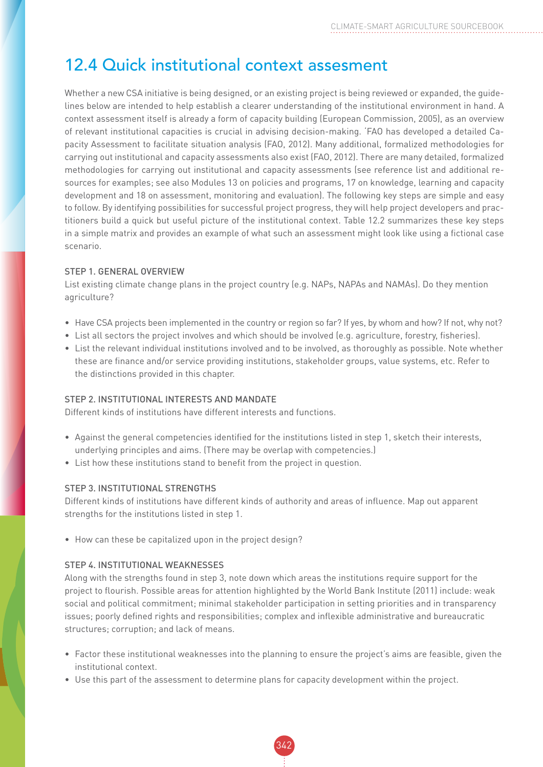## 12.4 Quick institutional context assesment

Whether a new CSA initiative is being designed, or an existing project is being reviewed or expanded, the guidelines below are intended to help establish a clearer understanding of the institutional environment in hand. A context assessment itself is already a form of capacity building (European Commission, 2005), as an overview of relevant institutional capacities is crucial in advising decision-making. 'FAO has developed a detailed Capacity Assessment to facilitate situation analysis (FAO, 2012). Many additional, formalized methodologies for carrying out institutional and capacity assessments also exist (FAO, 2012). There are many detailed, formalized methodologies for carrying out institutional and capacity assessments (see reference list and additional resources for examples; see also Modules 13 on policies and programs, 17 on knowledge, learning and capacity development and 18 on assessment, monitoring and evaluation). The following key steps are simple and easy to follow. By identifying possibilities for successful project progress, they will help project developers and practitioners build a quick but useful picture of the institutional context. Table 12.2 summarizes these key steps in a simple matrix and provides an example of what such an assessment might look like using a fictional case scenario.

### STEP 1. GENERAL OVERVIEW

List existing climate change plans in the project country (e.g. NAPs, NAPAs and NAMAs). Do they mention agriculture?

- Have CSA projects been implemented in the country or region so far? If yes, by whom and how? If not, why not?
- • List all sectors the project involves and which should be involved (e.g. agriculture, forestry, fisheries).
- • List the relevant individual institutions involved and to be involved, as thoroughly as possible. Note whether these are finance and/or service providing institutions, stakeholder groups, value systems, etc. Refer to the distinctions provided in this chapter.

### STEP 2. INSTITUTIONAL INTERESTS AND MANDATE

Different kinds of institutions have different interests and functions.

- • Against the general competencies identified for the institutions listed in step 1, sketch their interests, underlying principles and aims. (There may be overlap with competencies.)
- • List how these institutions stand to benefit from the project in question.

### STEP 3. INSTITUTIONAL STRENGTHS

Different kinds of institutions have different kinds of authority and areas of influence. Map out apparent strengths for the institutions listed in step 1.

• How can these be capitalized upon in the project design?

### STEP 4. INSTITUTIONAL WEAKNESSES

Along with the strengths found in step 3, note down which areas the institutions require support for the project to flourish. Possible areas for attention highlighted by the World Bank Institute (2011) include: weak social and political commitment; minimal stakeholder participation in setting priorities and in transparency issues; poorly defined rights and responsibilities; complex and inflexible administrative and bureaucratic structures; corruption; and lack of means.

• Factor these institutional weaknesses into the planning to ensure the project's aims are feasible, given the institutional context.

342

• Use this part of the assessment to determine plans for capacity development within the project.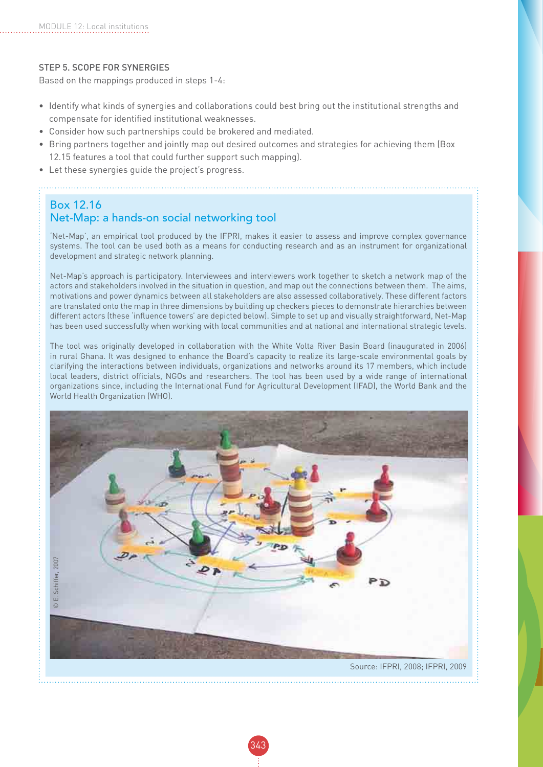### STEP 5. SCOPE FOR SYNERGIES

Based on the mappings produced in steps 1-4:

- • Identify what kinds of synergies and collaborations could best bring out the institutional strengths and compensate for identified institutional weaknesses.
- Consider how such partnerships could be brokered and mediated.
- • Bring partners together and jointly map out desired outcomes and strategies for achieving them (Box 12.15 features a tool that could further support such mapping).
- Let these synergies quide the project's progress.

## Box 12.16 Net-Map: a hands-on social networking tool

'Net-Map', an empirical tool produced by the IFPRI, makes it easier to assess and improve complex governance systems. The tool can be used both as a means for conducting research and as an instrument for organizational development and strategic network planning.

Net-Map's approach is participatory. Interviewees and interviewers work together to sketch a network map of the actors and stakeholders involved in the situation in question, and map out the connections between them. The aims, motivations and power dynamics between all stakeholders are also assessed collaboratively. These different factors are translated onto the map in three dimensions by building up checkers pieces to demonstrate hierarchies between different actors (these 'influence towers' are depicted below). Simple to set up and visually straightforward, Net-Map has been used successfully when working with local communities and at national and international strategic levels.

The tool was originally developed in collaboration with the White Volta River Basin Board (inaugurated in 2006) in rural Ghana. It was designed to enhance the Board's capacity to realize its large-scale environmental goals by clarifying the interactions between individuals, organizations and networks around its 17 members, which include local leaders, district officials, NGOs and researchers. The tool has been used by a wide range of international organizations since, including the International Fund for Agricultural Development (IFAD), the World Bank and the World Health Organization (WHO).

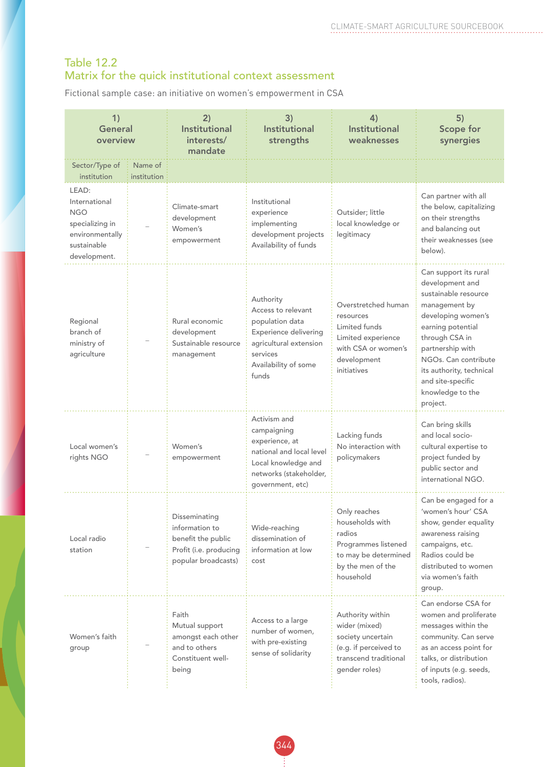## Table 12.2 Matrix for the quick institutional context assessment

Fictional sample case: an initiative on women's empowerment in CSA

| 1)<br>General<br>overview                                                                                 |                        | 2)<br><b>Institutional</b><br>interests/<br>mandate                                                    | 3)<br><b>Institutional</b><br>strengths                                                                                                            | 4)<br>Institutional<br>weaknesses                                                                                            | 5)<br><b>Scope for</b><br>synergies                                                                                                                                                                                                                                         |
|-----------------------------------------------------------------------------------------------------------|------------------------|--------------------------------------------------------------------------------------------------------|----------------------------------------------------------------------------------------------------------------------------------------------------|------------------------------------------------------------------------------------------------------------------------------|-----------------------------------------------------------------------------------------------------------------------------------------------------------------------------------------------------------------------------------------------------------------------------|
| Sector/Type of<br>institution                                                                             | Name of<br>institution |                                                                                                        |                                                                                                                                                    |                                                                                                                              |                                                                                                                                                                                                                                                                             |
| LEAD:<br>International<br><b>NGO</b><br>specializing in<br>environmentally<br>sustainable<br>development. |                        | Climate-smart<br>development<br>Women's<br>empowerment                                                 | Institutional<br>experience<br>implementing<br>development projects<br>Availability of funds                                                       | Outsider; little<br>local knowledge or<br>legitimacy                                                                         | Can partner with all<br>the below, capitalizing<br>on their strengths<br>and balancing out<br>their weaknesses (see<br>below).                                                                                                                                              |
| Regional<br>branch of<br>ministry of<br>agriculture                                                       |                        | Rural economic<br>development<br>Sustainable resource<br>management                                    | Authority<br>Access to relevant<br>population data<br>Experience delivering<br>agricultural extension<br>services<br>Availability of some<br>funds | Overstretched human<br>resources<br>Limited funds<br>Limited experience<br>with CSA or women's<br>development<br>initiatives | Can support its rural<br>development and<br>sustainable resource<br>management by<br>developing women's<br>earning potential<br>through CSA in<br>partnership with<br>NGOs. Can contribute<br>its authority, technical<br>and site-specific<br>knowledge to the<br>project. |
| Local women's<br>rights NGO                                                                               |                        | Women's<br>empowerment                                                                                 | Activism and<br>campaigning<br>experience, at<br>national and local level<br>Local knowledge and<br>networks (stakeholder,<br>government, etc)     | Lacking funds<br>No interaction with<br>policymakers                                                                         | Can bring skills<br>and local socio-<br>cultural expertise to<br>project funded by<br>public sector and<br>international NGO.                                                                                                                                               |
| Local radio<br>station                                                                                    |                        | Disseminating<br>information to<br>benefit the public<br>Profit (i.e. producing<br>popular broadcasts) | Wide-reaching<br>dissemination of<br>information at low<br>cost                                                                                    | Only reaches<br>households with<br>radios<br>Programmes listened<br>to may be determined<br>by the men of the<br>household   | Can be engaged for a<br>'women's hour' CSA<br>show, gender equality<br>awareness raising<br>campaigns, etc.<br>Radios could be<br>distributed to women<br>via women's faith<br>group.                                                                                       |
| Women's faith<br>group                                                                                    |                        | Faith<br>Mutual support<br>amongst each other<br>and to others<br>Constituent well-<br>being           | Access to a large<br>number of women,<br>with pre-existing<br>sense of solidarity                                                                  | Authority within<br>wider (mixed)<br>society uncertain<br>(e.g. if perceived to<br>transcend traditional<br>gender roles)    | Can endorse CSA for<br>women and proliferate<br>messages within the<br>community. Can serve<br>as an access point for<br>talks, or distribution<br>of inputs (e.g. seeds,<br>tools, radios).                                                                                |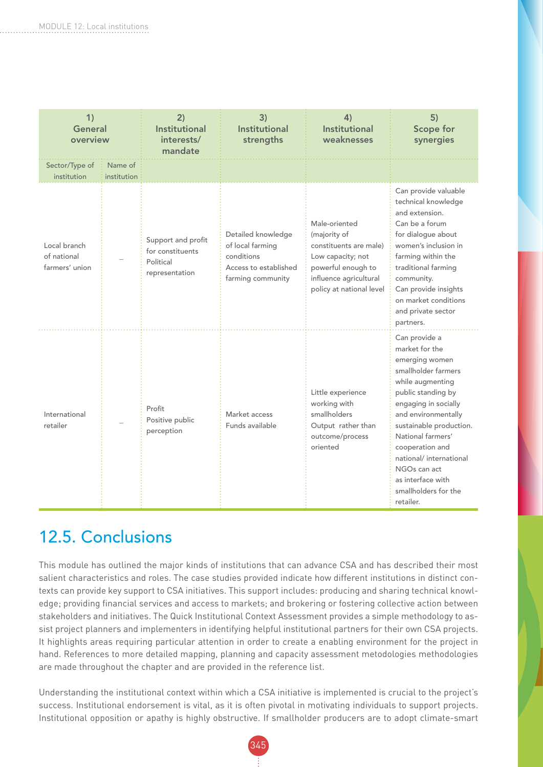| 1)<br>General<br>overview                     |                        | 2)<br>Institutional<br>interests/<br>mandate                          | 3)<br>Institutional<br>strengths                                                                   | 4)<br><b>Institutional</b><br>weaknesses                                                                                                                 | 5)<br><b>Scope for</b><br>synergies                                                                                                                                                                                                                                                                                                      |
|-----------------------------------------------|------------------------|-----------------------------------------------------------------------|----------------------------------------------------------------------------------------------------|----------------------------------------------------------------------------------------------------------------------------------------------------------|------------------------------------------------------------------------------------------------------------------------------------------------------------------------------------------------------------------------------------------------------------------------------------------------------------------------------------------|
| Sector/Type of<br>institution                 | Name of<br>institution |                                                                       |                                                                                                    |                                                                                                                                                          |                                                                                                                                                                                                                                                                                                                                          |
| Local branch<br>of national<br>farmers' union |                        | Support and profit<br>for constituents<br>Political<br>representation | Detailed knowledge<br>of local farming<br>conditions<br>Access to established<br>farming community | Male-oriented<br>(majority of<br>constituents are male)<br>Low capacity; not<br>powerful enough to<br>influence agricultural<br>policy at national level | Can provide valuable<br>technical knowledge<br>and extension.<br>Can be a forum<br>for dialogue about<br>women's inclusion in<br>farming within the<br>traditional farming<br>community.<br>Can provide insights<br>on market conditions<br>and private sector<br>partners.                                                              |
| International<br>retailer                     |                        | Profit<br>Positive public<br>perception                               | Market access<br>Funds available                                                                   | Little experience<br>working with<br>smallholders<br>Output rather than<br>outcome/process<br>oriented                                                   | Can provide a<br>market for the<br>emerging women<br>smallholder farmers<br>while augmenting<br>public standing by<br>engaging in socially<br>and environmentally<br>sustainable production.<br>National farmers'<br>cooperation and<br>national/international<br>NGOs can act<br>as interface with<br>smallholders for the<br>retailer. |

## 12.5. Conclusions

This module has outlined the major kinds of institutions that can advance CSA and has described their most salient characteristics and roles. The case studies provided indicate how different institutions in distinct contexts can provide key support to CSA initiatives. This support includes: producing and sharing technical knowledge; providing financial services and access to markets; and brokering or fostering collective action between stakeholders and initiatives. The Quick Institutional Context Assessment provides a simple methodology to assist project planners and implementers in identifying helpful institutional partners for their own CSA projects. It highlights areas requiring particular attention in order to create a enabling environment for the project in hand. References to more detailed mapping, planning and capacity assessment metodologies methodologies are made throughout the chapter and are provided in the reference list.

Understanding the institutional context within which a CSA initiative is implemented is crucial to the project's success. Institutional endorsement is vital, as it is often pivotal in motivating individuals to support projects. Institutional opposition or apathy is highly obstructive. If smallholder producers are to adopt climate-smart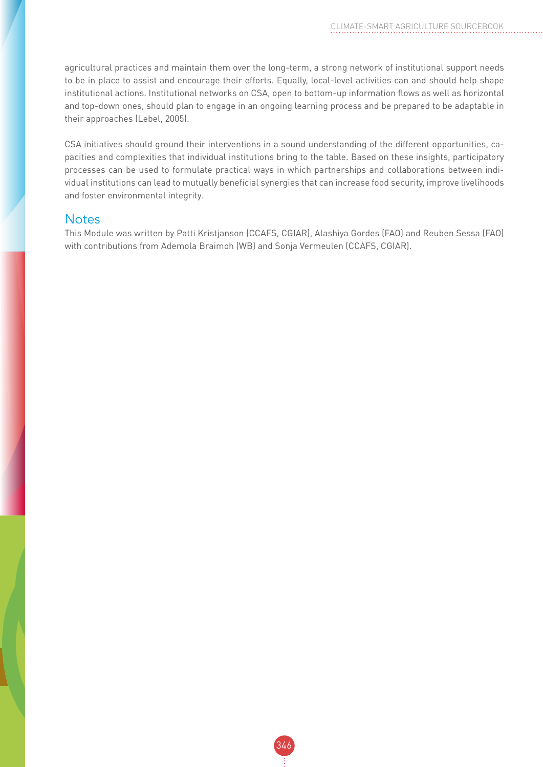agricultural practices and maintain them over the long-term, a strong network of institutional support needs to be in place to assist and encourage their efforts. Equally, local-level activities can and should help shape institutional actions. Institutional networks on CSA, open to bottom-up information flows as well as horizontal and top-down ones, should plan to engage in an ongoing learning process and be prepared to be adaptable in their approaches (Lebel, 2005).

CSA initiatives should ground their interventions in a sound understanding of the different opportunities, capacities and complexities that individual institutions bring to the table. Based on these insights, participatory processes can be used to formulate practical ways in which partnerships and collaborations between individual institutions can lead to mutually beneficial synergies that can increase food security, improve livelihoods and foster environmental integrity.

### **Notes**

This Module was written by Patti Kristjanson (CCAFS, CGIAR), Alashiya Gordes (FAO) and Reuben Sessa (FAO) with contributions from Ademola Braimoh (WB) and Sonja Vermeulen (CCAFS, CGIAR).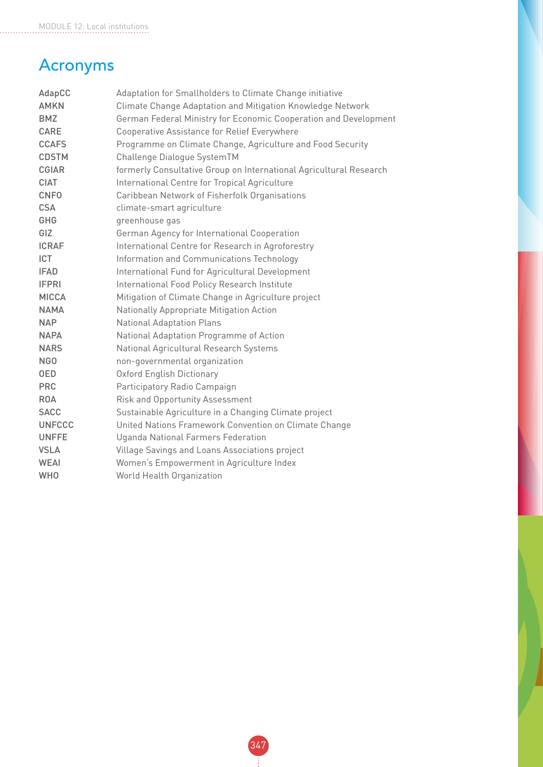## Acronyms

| AdapCC          | Adaptation for Smallholders to Climate Change initiative           |
|-----------------|--------------------------------------------------------------------|
| <b>AMKN</b>     | Climate Change Adaptation and Mitigation Knowledge Network         |
| <b>BMZ</b>      | German Federal Ministry for Economic Cooperation and Development   |
| CARE            | Cooperative Assistance for Relief Everywhere                       |
| <b>CCAFS</b>    | Programme on Climate Change, Agriculture and Food Security         |
| <b>CDSTM</b>    | Challenge Dialogue SystemTM                                        |
| <b>CGIAR</b>    | formerly Consultative Group on International Agricultural Research |
| <b>CIAT</b>     | International Centre for Tropical Agriculture                      |
| <b>CNFO</b>     | Caribbean Network of Fisherfolk Organisations                      |
| <b>CSA</b>      | climate-smart agriculture                                          |
| GHG             | greenhouse gas                                                     |
| GIZ             | German Agency for International Cooperation                        |
| <b>ICRAF</b>    | International Centre for Research in Agroforestry                  |
| <b>ICT</b>      | Information and Communications Technology                          |
| <b>IFAD</b>     | International Fund for Agricultural Development                    |
| <b>IFPRI</b>    | International Food Policy Research Institute                       |
| <b>MICCA</b>    | Mitigation of Climate Change in Agriculture project                |
| <b>NAMA</b>     | Nationally Appropriate Mitigation Action                           |
| <b>NAP</b>      | <b>National Adaptation Plans</b>                                   |
| <b>NAPA</b>     | National Adaptation Programme of Action                            |
| <b>NARS</b>     | National Agricultural Research Systems                             |
| NG <sub>0</sub> | non-governmental organization                                      |
| 0ED             | Oxford English Dictionary                                          |
| <b>PRC</b>      | Participatory Radio Campaign                                       |
| <b>ROA</b>      | Risk and Opportunity Assessment                                    |
| <b>SACC</b>     | Sustainable Agriculture in a Changing Climate project              |
| <b>UNFCCC</b>   | United Nations Framework Convention on Climate Change              |
| <b>UNFFE</b>    | Uganda National Farmers Federation                                 |
| <b>VSLA</b>     | Village Savings and Loans Associations project                     |
| <b>WEAI</b>     | Women's Empowerment in Agriculture Index                           |
| <b>WHO</b>      | World Health Organization                                          |
|                 |                                                                    |

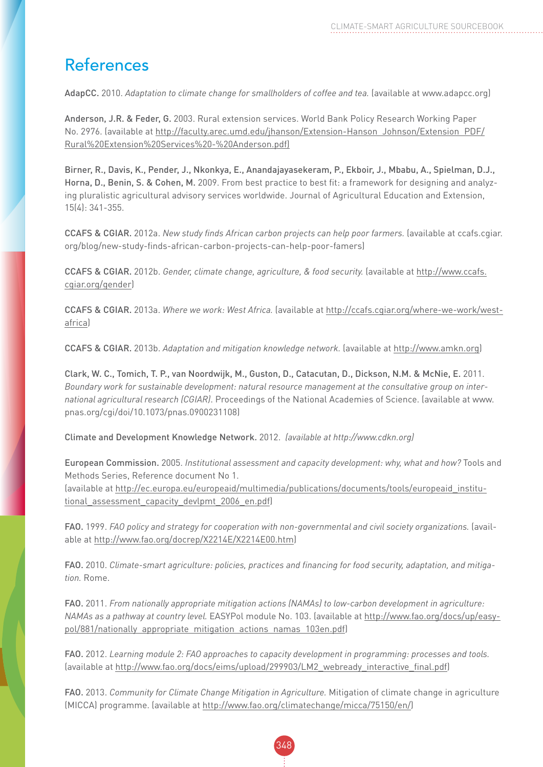## References

AdapCC. 2010. *Adaptation to climate change for smallholders of coffee and tea.* (available at www.adapcc.org)

Anderson, J.R. & Feder, G. 2003. Rural extension services. World Bank Policy Research Working Paper No. 2976. (available at http://faculty.arec.umd.edu/jhanson/Extension-Hanson\_Johnson/Extension\_PDF/ Rural%20Extension%20Services%20-%20Anderson.pdf)

Birner, R., Davis, K., Pender, J., Nkonkya, E., Anandajayasekeram, P., Ekboir, J., Mbabu, A., Spielman, D.J., Horna, D., Benin, S. & Cohen, M. 2009. From best practice to best fit: a framework for designing and analyzing pluralistic agricultural advisory services worldwide. Journal of Agricultural Education and Extension, 15(4): 341-355.

CCAFS & CGIAR. 2012a. *New study finds African carbon projects can help poor farmers.* (available at ccafs.cgiar. org/blog/new-study-finds-african-carbon-projects-can-help-poor-famers)

CCAFS & CGIAR. 2012b. *Gender, climate change, agriculture, & food security.* (available at http://www.ccafs. cgiar.org/gender)

CCAFS & CGIAR. 2013a. *Where we work: West Africa.* (available at http://ccafs.cgiar.org/where-we-work/westafrica)

CCAFS & CGIAR. 2013b. *Adaptation and mitigation knowledge network.* (available at http://www.amkn.org)

Clark, W. C., Tomich, T. P., van Noordwijk, M., Guston, D., Catacutan, D., Dickson, N.M. & McNie, E. 2011. *Boundary work for sustainable development: natural resource management at the consultative group on international agricultural research (CGIAR)*. Proceedings of the National Academies of Science. (available at www. pnas.org/cgi/doi/10.1073/pnas.0900231108)

Climate and Development Knowledge Network. 2012. *(available at http://www.cdkn.org)*

European Commission. 2005. *Institutional assessment and capacity development: why, what and how?* Tools and Methods Series, Reference document No 1. (available at http://ec.europa.eu/europeaid/multimedia/publications/documents/tools/europeaid\_institu-

tional assessment capacity devlpmt 2006 en.pdf)

FAO. 1999. *FAO policy and strategy for cooperation with non-governmental and civil society organizations.* (available at http://www.fao.org/docrep/X2214E/X2214E00.htm)

FAO. 2010. *Climate-smart agriculture: policies, practices and financing for food security, adaptation, and mitigation.* Rome.

FAO. 2011. *From nationally appropriate mitigation actions (NAMAs) to low-carbon development in agriculture: NAMAs as a pathway at country level.* EASYPol module No. 103. (available at http://www.fao.org/docs/up/easypol/881/nationally\_appropriate\_mitigation\_actions\_namas\_103en.pdf)

FAO. 2012. *Learning module 2: FAO approaches to capacity development in programming: processes and tools.*  (available at http://www.fao.org/docs/eims/upload/299903/LM2\_webready\_interactive\_final.pdf)

FAO. 2013. *Community for Climate Change Mitigation in Agriculture.* Mitigation of climate change in agriculture (MICCA) programme. (available at http://www.fao.org/climatechange/micca/75150/en/)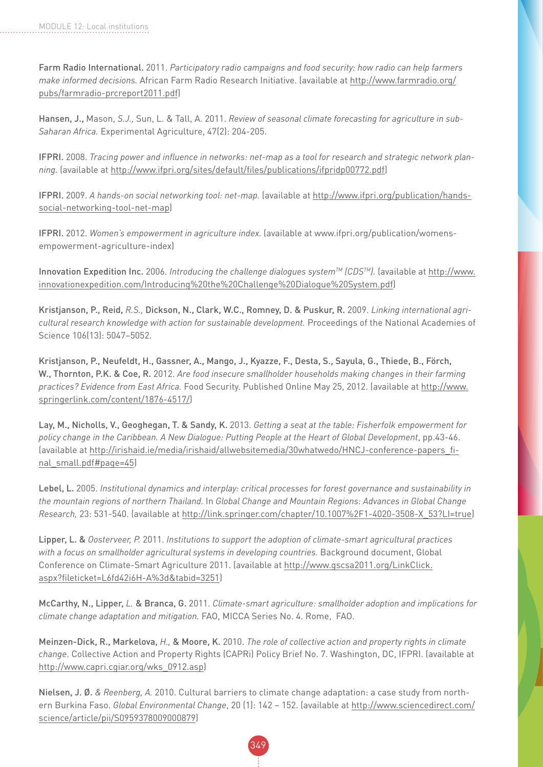Farm Radio International. 2011. *Participatory radio campaigns and food security: how radio can help farmers make informed decisions.* African Farm Radio Research Initiative. (available at http://www.farmradio.org/ pubs/farmradio-prcreport2011.pdf)

Hansen, J., Mason, *S.J.,* Sun, L. & Tall, A. 2011. *Review of seasonal climate forecasting for agriculture in sub-Saharan Africa.* Experimental Agriculture, 47(2): 204-205.

IFPRI. 2008. *Tracing power and influence in networks: net-map as a tool for research and strategic network planning.* (available at http://www.ifpri.org/sites/default/files/publications/ifpridp00772.pdf)

IFPRI. 2009. *A hands-on social networking tool: net-map.* (available at http://www.ifpri.org/publication/handssocial-networking-tool-net-map)

IFPRI. 2012. *Women's empowerment in agriculture index.* (available at www.ifpri.org/publication/womensempowerment-agriculture-index)

Innovation Expedition Inc. 2006. *Introducing the challenge dialogues systemTM (CDSTM).* (available at http://www. innovationexpedition.com/Introducing%20the%20Challenge%20Dialogue%20System.pdf)

Kristjanson, P., Reid, *R.S.,* Dickson, N., Clark, W.C., Romney, D. & Puskur, R. 2009. *Linking international agricultural research knowledge with action for sustainable development.* Proceedings of the National Academies of Science 106(13): 5047–5052.

Kristjanson, P., Neufeldt, H., Gassner, A., Mango, J., Kyazze, F., Desta, S., Sayula, G., Thiede, B., Förch, W., Thornton, P.K. & Coe, R. 2012. *Are food insecure smallholder households making changes in their farming practices? Evidence from East Africa.* Food Security. Published Online May 25, 2012. (available at http://www. springerlink.com/content/1876-4517/)

Lay, M., Nicholls, V., Geoghegan, T. & Sandy, K. 2013. *Getting a seat at the table: Fisherfolk empowerment for policy change in the Caribbean. A New Dialogue: Putting People at the Heart of Global Development*, pp.43-46. (available at http://irishaid.ie/media/irishaid/allwebsitemedia/30whatwedo/HNCJ-conference-papers\_final\_small.pdf#page=45)

Lebel, L. 2005. *Institutional dynamics and interplay: critical processes for forest governance and sustainability in the mountain regions of northern Thailand.* In *Global Change and Mountain Regions: Advances in Global Change Research,* 23: 531-540. (available at http://link.springer.com/chapter/10.1007%2F1-4020-3508-X\_53?LI=true)

Lipper, L. & *Oosterveer, P.* 2011. *Institutions to support the adoption of climate-smart agricultural practices with a focus on smallholder agricultural systems in developing countries.* Background document, Global Conference on Climate-Smart Agriculture 2011. (available at http://www.gscsa2011.org/LinkClick. aspx?fileticket=L6fd42i6H-A%3d&tabid=3251)

McCarthy, N., Lipper, *L.* & Branca, G. 2011. *Climate-smart agriculture: smallholder adoption and implications for climate change adaptation and mitigation.* FAO, MICCA Series No. 4. Rome, FAO.

Meinzen-Dick, R., Markelova, *H.,* & Moore, K. 2010. *The role of collective action and property rights in climate change*. Collective Action and Property Rights (CAPRi) Policy Brief No. 7. Washington, DC, IFPRI. (available at http://www.capri.cgiar.org/wks\_0912.asp)

Nielsen, J. Ø. *& Reenberg, A.* 2010. Cultural barriers to climate change adaptation: a case study from northern Burkina Faso. *Global Environmental Change*, 20 (1): 142 – 152. (available at http://www.sciencedirect.com/ science/article/pii/S0959378009000879)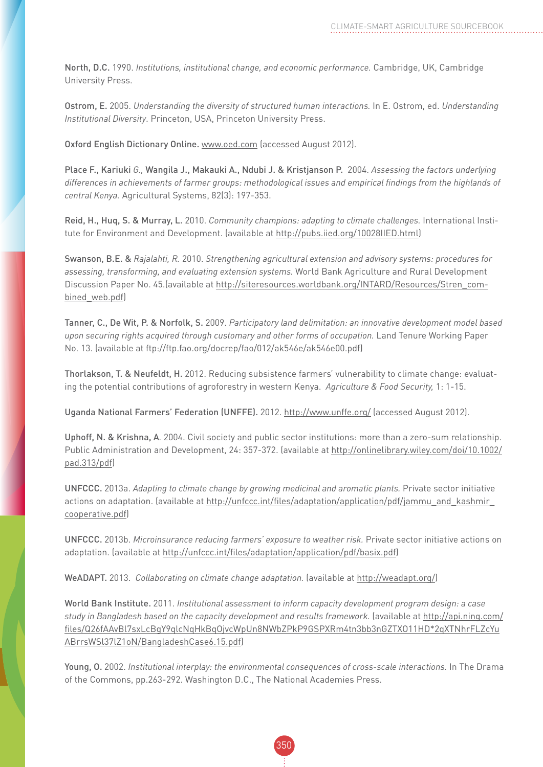North, D.C. 1990. *Institutions, institutional change, and economic performance.* Cambridge, UK, Cambridge University Press.

Ostrom, E. 2005. *Understanding the diversity of structured human interactions.* In E. Ostrom, ed. *Understanding Institutional Diversity*. Princeton, USA, Princeton University Press.

Oxford English Dictionary Online. www.oed.com (accessed August 2012).

Place F., Kariuki *G.,* Wangila J., Makauki A., Ndubi J. & Kristjanson P. 2004. *Assessing the factors underlying differences in achievements of farmer groups: methodological issues and empirical findings from the highlands of central Kenya.* Agricultural Systems, 82(3): 197-353.

Reid, H., Huq, S. & Murray, L. 2010. *Community champions: adapting to climate challenges.* International Institute for Environment and Development. (available at http://pubs.iied.org/10028IIED.html)

Swanson, B.E. & *Rajalahti, R.* 2010. *Strengthening agricultural extension and advisory systems: procedures for assessing, transforming, and evaluating extension systems.* World Bank Agriculture and Rural Development Discussion Paper No. 45.(available at http://siteresources.worldbank.org/INTARD/Resources/Stren\_combined\_web.pdf)

Tanner, C., De Wit, P. & Norfolk, S. 2009. *Participatory land delimitation: an innovative development model based upon securing rights acquired through customary and other forms of occupation.* Land Tenure Working Paper No. 13. (available at ftp://ftp.fao.org/docrep/fao/012/ak546e/ak546e00.pdf)

Thorlakson, T. & Neufeldt, H. 2012. Reducing subsistence farmers' vulnerability to climate change: evaluating the potential contributions of agroforestry in western Kenya. *Agriculture & Food Security,* 1: 1-15.

Uganda National Farmers' Federation (UNFFE). 2012. http://www.unffe.org/ (accessed August 2012).

Uphoff, N. & Krishna, A*.* 2004. Civil society and public sector institutions: more than a zero-sum relationship. Public Administration and Development, 24: 357-372. (available at http://onlinelibrary.wiley.com/doi/10.1002/ pad.313/pdf)

UNFCCC. 2013a. *Adapting to climate change by growing medicinal and aromatic plants.* Private sector initiative actions on adaptation. (available at http://unfccc.int/files/adaptation/application/pdf/jammu\_and\_kashmir\_ cooperative.pdf)

UNFCCC. 2013b. *Microinsurance reducing farmers' exposure to weather risk.* Private sector initiative actions on adaptation. (available at http://unfccc.int/files/adaptation/application/pdf/basix.pdf)

WeADAPT. 2013. *Collaborating on climate change adaptation.* (available at http://weadapt.org/)

World Bank Institute. 2011. *Institutional assessment to inform capacity development program design: a case study in Bangladesh based on the capacity development and results framework.* (available at http://api.ning.com/ files/Q26fAAvBl7sxLcBgY9qlcNqHkBqOjvcWpUn8NWbZPkP9GSPXRm4tn3bb3nGZTXO11HD\*2qXTNhrFLZcYu ABrrsWSl37lZ1oN/BangladeshCase6.15.pdf)

Young, O. 2002. *Institutional interplay: the environmental consequences of cross-scale interactions.* In The Drama of the Commons, pp.263-292. Washington D.C., The National Academies Press.